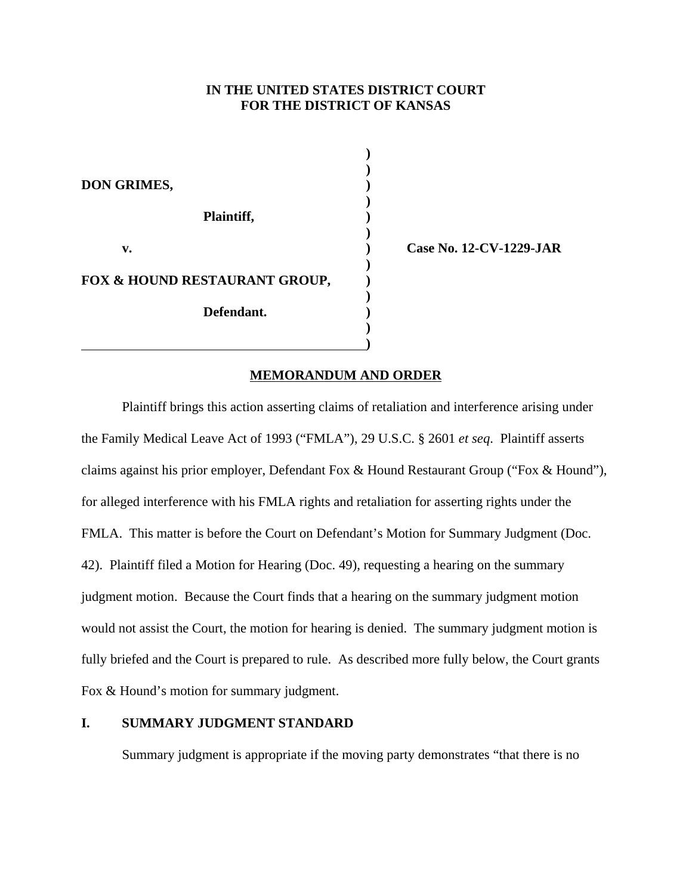# **IN THE UNITED STATES DISTRICT COURT FOR THE DISTRICT OF KANSAS**

**)**

**)**

**)**

**)**

**)**

**)**

 **)**

**DON GRIMES, ) Plaintiff, ) v. ) Case No. 12-CV-1229-JAR FOX & HOUND RESTAURANT GROUP, ) Defendant. ) )**

## **MEMORANDUM AND ORDER**

Plaintiff brings this action asserting claims of retaliation and interference arising under the Family Medical Leave Act of 1993 ("FMLA"), 29 U.S.C. § 2601 *et seq*. Plaintiff asserts claims against his prior employer, Defendant Fox & Hound Restaurant Group ("Fox & Hound"), for alleged interference with his FMLA rights and retaliation for asserting rights under the FMLA. This matter is before the Court on Defendant's Motion for Summary Judgment (Doc. 42). Plaintiff filed a Motion for Hearing (Doc. 49), requesting a hearing on the summary judgment motion. Because the Court finds that a hearing on the summary judgment motion would not assist the Court, the motion for hearing is denied. The summary judgment motion is fully briefed and the Court is prepared to rule. As described more fully below, the Court grants Fox & Hound's motion for summary judgment.

# **I. SUMMARY JUDGMENT STANDARD**

Summary judgment is appropriate if the moving party demonstrates "that there is no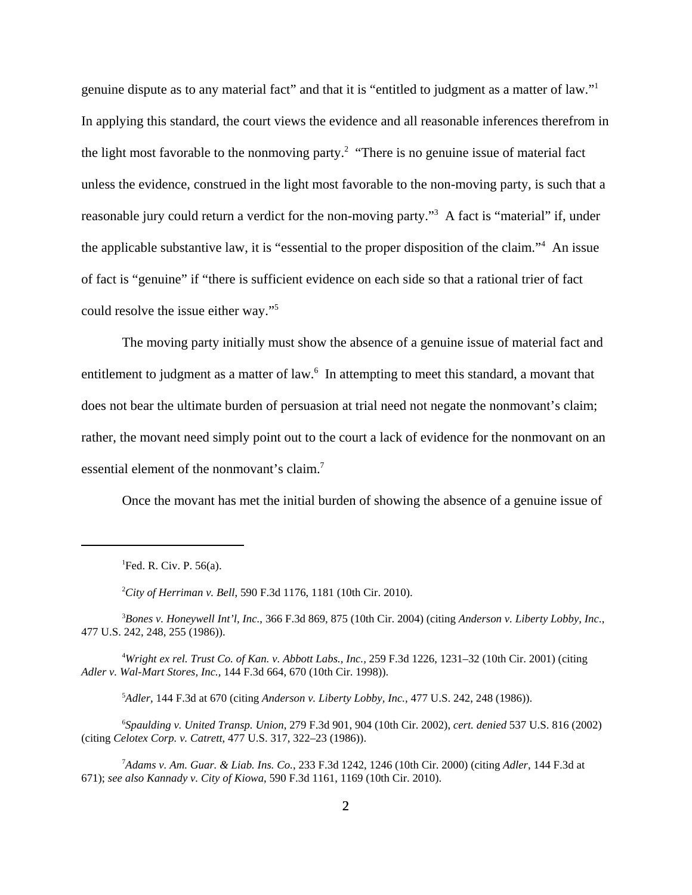genuine dispute as to any material fact" and that it is "entitled to judgment as a matter of law."1 In applying this standard, the court views the evidence and all reasonable inferences therefrom in the light most favorable to the nonmoving party.<sup>2</sup> "There is no genuine issue of material fact unless the evidence, construed in the light most favorable to the non-moving party, is such that a reasonable jury could return a verdict for the non-moving party."<sup>3</sup> A fact is "material" if, under the applicable substantive law, it is "essential to the proper disposition of the claim."4 An issue of fact is "genuine" if "there is sufficient evidence on each side so that a rational trier of fact could resolve the issue either way."5

The moving party initially must show the absence of a genuine issue of material fact and entitlement to judgment as a matter of law.<sup>6</sup> In attempting to meet this standard, a movant that does not bear the ultimate burden of persuasion at trial need not negate the nonmovant's claim; rather, the movant need simply point out to the court a lack of evidence for the nonmovant on an essential element of the nonmovant's claim.<sup>7</sup>

Once the movant has met the initial burden of showing the absence of a genuine issue of

<sup>1</sup>Fed. R. Civ. P. 56(a).

2 *City of Herriman v. Bell*, 590 F.3d 1176, 1181 (10th Cir. 2010).

3 *Bones v. Honeywell Int'l, Inc.*, 366 F.3d 869, 875 (10th Cir. 2004) (citing *Anderson v. Liberty Lobby, Inc*., 477 U.S. 242, 248, 255 (1986)).

4 *Wright ex rel. Trust Co. of Kan. v. Abbott Labs., Inc.,* 259 F.3d 1226, 1231–32 (10th Cir. 2001) (citing *Adler v. Wal-Mart Stores, Inc.,* 144 F.3d 664, 670 (10th Cir. 1998)).

5 *Adler,* 144 F.3d at 670 (citing *Anderson v. Liberty Lobby, Inc.,* 477 U.S. 242, 248 (1986)).

6 *Spaulding v. United Transp. Union*, 279 F.3d 901, 904 (10th Cir. 2002), *cert. denied* 537 U.S. 816 (2002) (citing *Celotex Corp. v. Catrett*, 477 U.S. 317, 322–23 (1986)).

7 *Adams v. Am. Guar. & Liab. Ins. Co.*, 233 F.3d 1242, 1246 (10th Cir. 2000) (citing *Adler*, 144 F.3d at 671); *see also Kannady v. City of Kiowa*, 590 F.3d 1161, 1169 (10th Cir. 2010).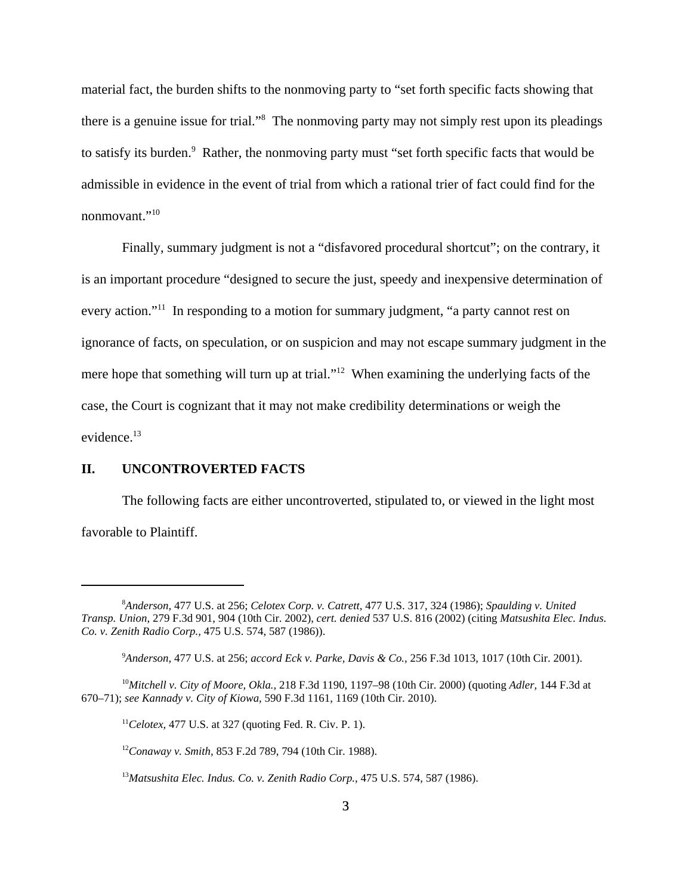material fact, the burden shifts to the nonmoving party to "set forth specific facts showing that there is a genuine issue for trial."<sup>8</sup> The nonmoving party may not simply rest upon its pleadings to satisfy its burden.<sup>9</sup> Rather, the nonmoving party must "set forth specific facts that would be admissible in evidence in the event of trial from which a rational trier of fact could find for the nonmovant."10

 Finally, summary judgment is not a "disfavored procedural shortcut"; on the contrary, it is an important procedure "designed to secure the just, speedy and inexpensive determination of every action."<sup>11</sup> In responding to a motion for summary judgment, "a party cannot rest on ignorance of facts, on speculation, or on suspicion and may not escape summary judgment in the mere hope that something will turn up at trial."<sup>12</sup> When examining the underlying facts of the case, the Court is cognizant that it may not make credibility determinations or weigh the evidence.<sup>13</sup>

# **II. UNCONTROVERTED FACTS**

The following facts are either uncontroverted, stipulated to, or viewed in the light most favorable to Plaintiff.

<sup>8</sup> *Anderson,* 477 U.S. at 256; *Celotex Corp. v. Catrett,* 477 U.S. 317, 324 (1986); *Spaulding v. United Transp. Union,* 279 F.3d 901, 904 (10th Cir. 2002), *cert. denied* 537 U.S. 816 (2002) (citing *Matsushita Elec. Indus. Co. v. Zenith Radio Corp.,* 475 U.S. 574, 587 (1986)).

<sup>9</sup> *Anderson,* 477 U.S. at 256; *accord Eck v. Parke, Davis & Co.,* 256 F.3d 1013, 1017 (10th Cir. 2001).

<sup>10</sup>*Mitchell v. City of Moore, Okla.,* 218 F.3d 1190, 1197–98 (10th Cir. 2000) (quoting *Adler,* 144 F.3d at 670–71); *see Kannady v. City of Kiowa,* 590 F.3d 1161, 1169 (10th Cir. 2010).

<sup>11</sup>*Celotex,* 477 U.S. at 327 (quoting Fed. R. Civ. P. 1).

<sup>12</sup>*Conaway v. Smith,* 853 F.2d 789, 794 (10th Cir. 1988).

<sup>13</sup>*Matsushita Elec. Indus. Co. v. Zenith Radio Corp.*, 475 U.S. 574, 587 (1986).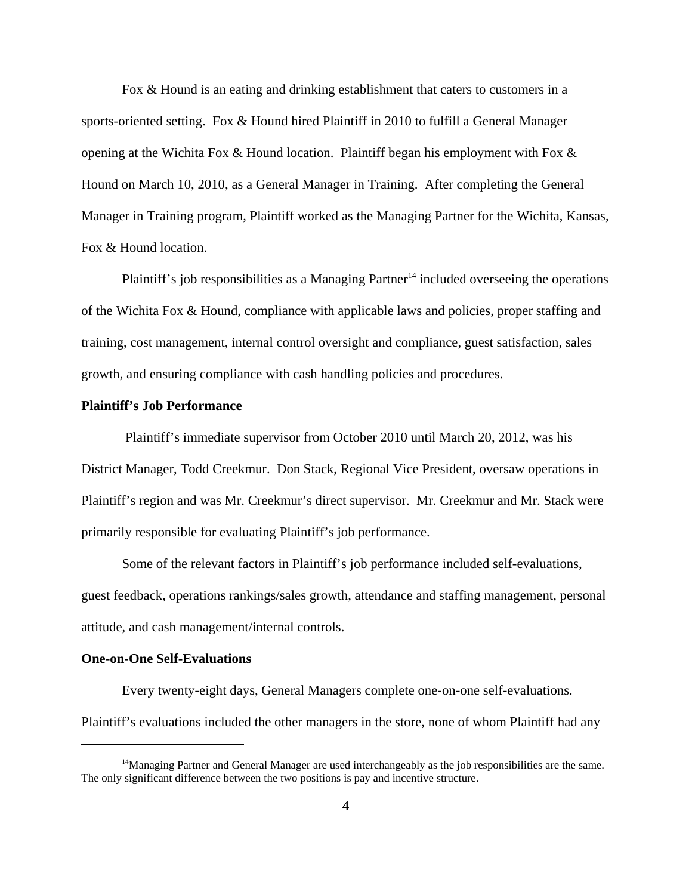Fox & Hound is an eating and drinking establishment that caters to customers in a sports-oriented setting. Fox & Hound hired Plaintiff in 2010 to fulfill a General Manager opening at the Wichita Fox & Hound location. Plaintiff began his employment with Fox & Hound on March 10, 2010, as a General Manager in Training. After completing the General Manager in Training program, Plaintiff worked as the Managing Partner for the Wichita, Kansas, Fox & Hound location.

Plaintiff's job responsibilities as a Managing Partner<sup>14</sup> included overseeing the operations of the Wichita Fox & Hound, compliance with applicable laws and policies, proper staffing and training, cost management, internal control oversight and compliance, guest satisfaction, sales growth, and ensuring compliance with cash handling policies and procedures.

# **Plaintiff's Job Performance**

 Plaintiff's immediate supervisor from October 2010 until March 20, 2012, was his District Manager, Todd Creekmur. Don Stack, Regional Vice President, oversaw operations in Plaintiff's region and was Mr. Creekmur's direct supervisor. Mr. Creekmur and Mr. Stack were primarily responsible for evaluating Plaintiff's job performance.

Some of the relevant factors in Plaintiff's job performance included self-evaluations, guest feedback, operations rankings/sales growth, attendance and staffing management, personal attitude, and cash management/internal controls.

## **One-on-One Self-Evaluations**

Every twenty-eight days, General Managers complete one-on-one self-evaluations.

Plaintiff's evaluations included the other managers in the store, none of whom Plaintiff had any

<sup>&</sup>lt;sup>14</sup>Managing Partner and General Manager are used interchangeably as the job responsibilities are the same. The only significant difference between the two positions is pay and incentive structure.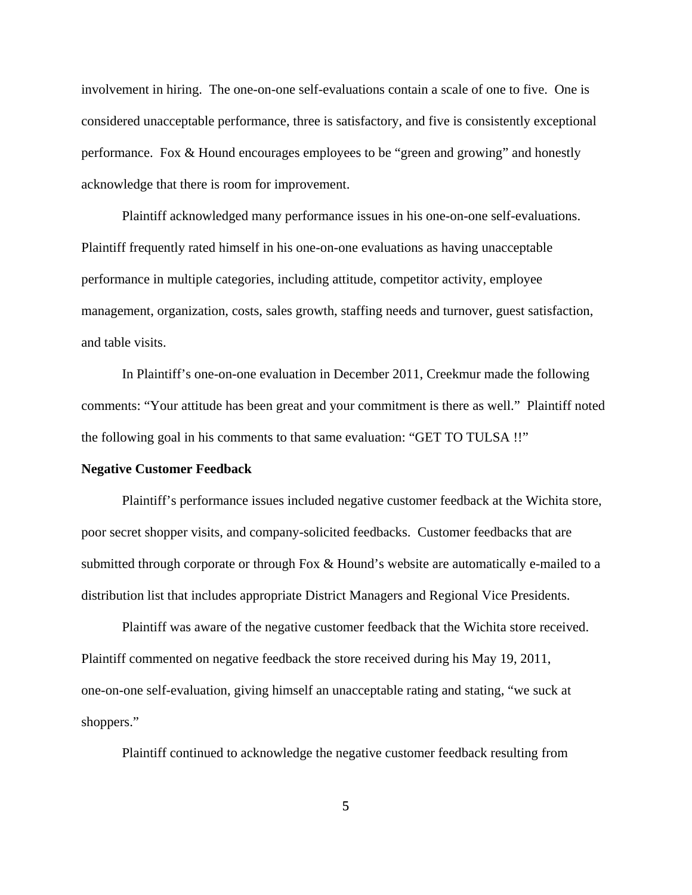involvement in hiring. The one-on-one self-evaluations contain a scale of one to five. One is considered unacceptable performance, three is satisfactory, and five is consistently exceptional performance. Fox & Hound encourages employees to be "green and growing" and honestly acknowledge that there is room for improvement.

Plaintiff acknowledged many performance issues in his one-on-one self-evaluations. Plaintiff frequently rated himself in his one-on-one evaluations as having unacceptable performance in multiple categories, including attitude, competitor activity, employee management, organization, costs, sales growth, staffing needs and turnover, guest satisfaction, and table visits.

In Plaintiff's one-on-one evaluation in December 2011, Creekmur made the following comments: "Your attitude has been great and your commitment is there as well." Plaintiff noted the following goal in his comments to that same evaluation: "GET TO TULSA !!"

#### **Negative Customer Feedback**

Plaintiff's performance issues included negative customer feedback at the Wichita store, poor secret shopper visits, and company-solicited feedbacks. Customer feedbacks that are submitted through corporate or through Fox & Hound's website are automatically e-mailed to a distribution list that includes appropriate District Managers and Regional Vice Presidents.

Plaintiff was aware of the negative customer feedback that the Wichita store received. Plaintiff commented on negative feedback the store received during his May 19, 2011, one-on-one self-evaluation, giving himself an unacceptable rating and stating, "we suck at shoppers."

Plaintiff continued to acknowledge the negative customer feedback resulting from

5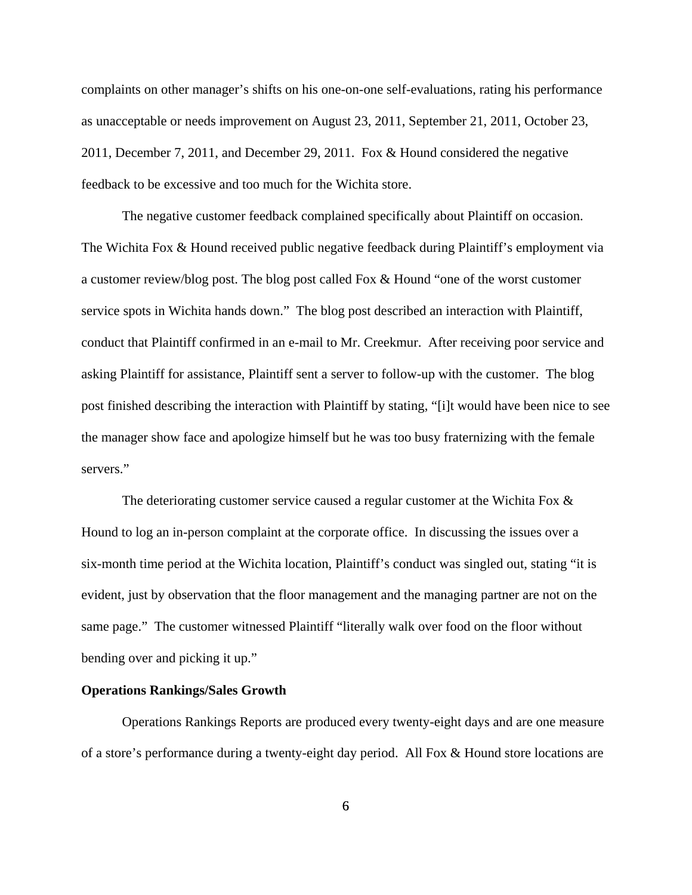complaints on other manager's shifts on his one-on-one self-evaluations, rating his performance as unacceptable or needs improvement on August 23, 2011, September 21, 2011, October 23, 2011, December 7, 2011, and December 29, 2011. Fox & Hound considered the negative feedback to be excessive and too much for the Wichita store.

The negative customer feedback complained specifically about Plaintiff on occasion. The Wichita Fox & Hound received public negative feedback during Plaintiff's employment via a customer review/blog post. The blog post called Fox & Hound "one of the worst customer service spots in Wichita hands down." The blog post described an interaction with Plaintiff, conduct that Plaintiff confirmed in an e-mail to Mr. Creekmur. After receiving poor service and asking Plaintiff for assistance, Plaintiff sent a server to follow-up with the customer. The blog post finished describing the interaction with Plaintiff by stating, "[i]t would have been nice to see the manager show face and apologize himself but he was too busy fraternizing with the female servers."

The deteriorating customer service caused a regular customer at the Wichita Fox & Hound to log an in-person complaint at the corporate office. In discussing the issues over a six-month time period at the Wichita location, Plaintiff's conduct was singled out, stating "it is evident, just by observation that the floor management and the managing partner are not on the same page." The customer witnessed Plaintiff "literally walk over food on the floor without bending over and picking it up."

# **Operations Rankings/Sales Growth**

Operations Rankings Reports are produced every twenty-eight days and are one measure of a store's performance during a twenty-eight day period. All Fox & Hound store locations are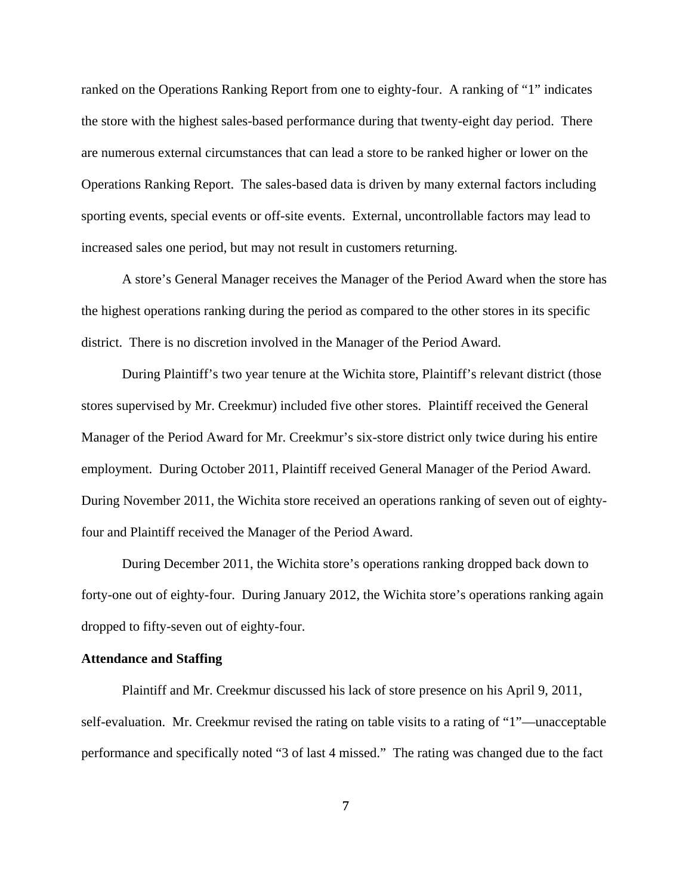ranked on the Operations Ranking Report from one to eighty-four. A ranking of "1" indicates the store with the highest sales-based performance during that twenty-eight day period. There are numerous external circumstances that can lead a store to be ranked higher or lower on the Operations Ranking Report. The sales-based data is driven by many external factors including sporting events, special events or off-site events. External, uncontrollable factors may lead to increased sales one period, but may not result in customers returning.

A store's General Manager receives the Manager of the Period Award when the store has the highest operations ranking during the period as compared to the other stores in its specific district. There is no discretion involved in the Manager of the Period Award.

During Plaintiff's two year tenure at the Wichita store, Plaintiff's relevant district (those stores supervised by Mr. Creekmur) included five other stores. Plaintiff received the General Manager of the Period Award for Mr. Creekmur's six-store district only twice during his entire employment. During October 2011, Plaintiff received General Manager of the Period Award. During November 2011, the Wichita store received an operations ranking of seven out of eightyfour and Plaintiff received the Manager of the Period Award.

During December 2011, the Wichita store's operations ranking dropped back down to forty-one out of eighty-four. During January 2012, the Wichita store's operations ranking again dropped to fifty-seven out of eighty-four.

# **Attendance and Staffing**

Plaintiff and Mr. Creekmur discussed his lack of store presence on his April 9, 2011, self-evaluation. Mr. Creekmur revised the rating on table visits to a rating of "1"—unacceptable performance and specifically noted "3 of last 4 missed." The rating was changed due to the fact

7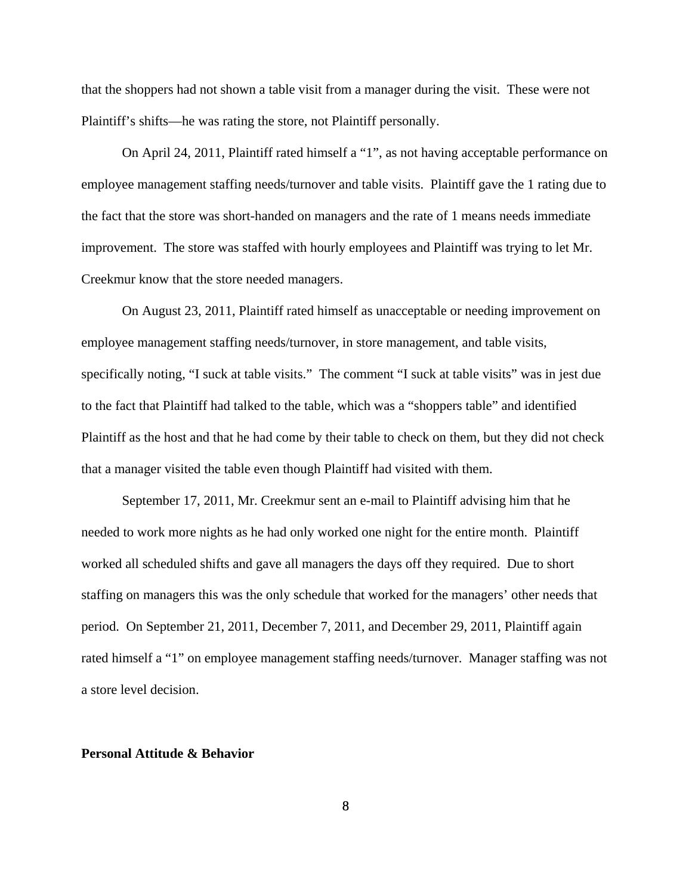that the shoppers had not shown a table visit from a manager during the visit. These were not Plaintiff's shifts—he was rating the store, not Plaintiff personally.

On April 24, 2011, Plaintiff rated himself a "1", as not having acceptable performance on employee management staffing needs/turnover and table visits. Plaintiff gave the 1 rating due to the fact that the store was short-handed on managers and the rate of 1 means needs immediate improvement. The store was staffed with hourly employees and Plaintiff was trying to let Mr. Creekmur know that the store needed managers.

On August 23, 2011, Plaintiff rated himself as unacceptable or needing improvement on employee management staffing needs/turnover, in store management, and table visits, specifically noting, "I suck at table visits." The comment "I suck at table visits" was in jest due to the fact that Plaintiff had talked to the table, which was a "shoppers table" and identified Plaintiff as the host and that he had come by their table to check on them, but they did not check that a manager visited the table even though Plaintiff had visited with them.

September 17, 2011, Mr. Creekmur sent an e-mail to Plaintiff advising him that he needed to work more nights as he had only worked one night for the entire month. Plaintiff worked all scheduled shifts and gave all managers the days off they required. Due to short staffing on managers this was the only schedule that worked for the managers' other needs that period. On September 21, 2011, December 7, 2011, and December 29, 2011, Plaintiff again rated himself a "1" on employee management staffing needs/turnover. Manager staffing was not a store level decision.

## **Personal Attitude & Behavior**

8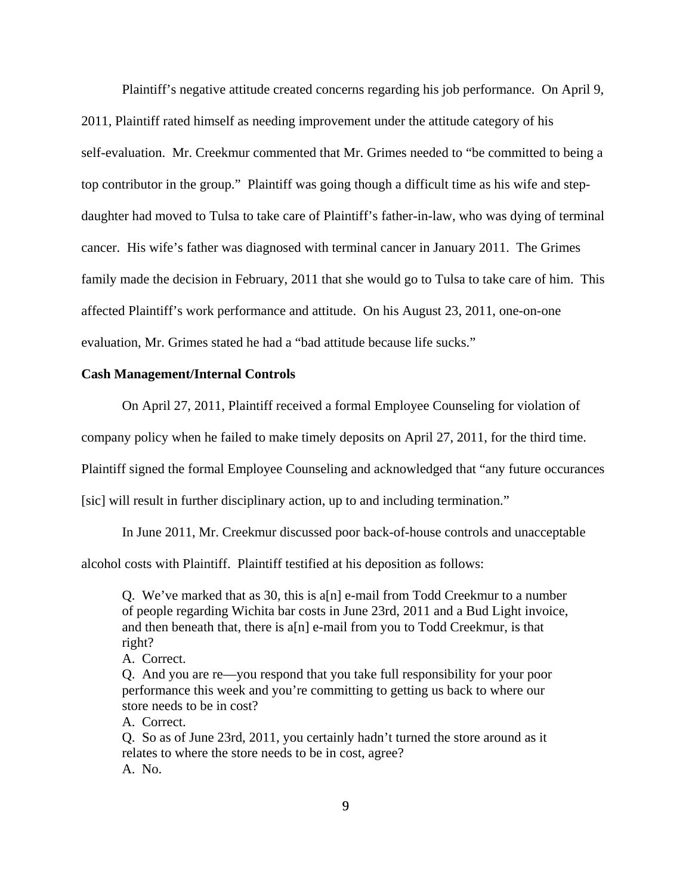Plaintiff's negative attitude created concerns regarding his job performance. On April 9, 2011, Plaintiff rated himself as needing improvement under the attitude category of his self-evaluation. Mr. Creekmur commented that Mr. Grimes needed to "be committed to being a top contributor in the group." Plaintiff was going though a difficult time as his wife and stepdaughter had moved to Tulsa to take care of Plaintiff's father-in-law, who was dying of terminal cancer. His wife's father was diagnosed with terminal cancer in January 2011. The Grimes family made the decision in February, 2011 that she would go to Tulsa to take care of him. This affected Plaintiff's work performance and attitude. On his August 23, 2011, one-on-one evaluation, Mr. Grimes stated he had a "bad attitude because life sucks."

## **Cash Management/Internal Controls**

On April 27, 2011, Plaintiff received a formal Employee Counseling for violation of

company policy when he failed to make timely deposits on April 27, 2011, for the third time.

Plaintiff signed the formal Employee Counseling and acknowledged that "any future occurances

[sic] will result in further disciplinary action, up to and including termination."

In June 2011, Mr. Creekmur discussed poor back-of-house controls and unacceptable

alcohol costs with Plaintiff. Plaintiff testified at his deposition as follows:

Q. We've marked that as 30, this is a[n] e-mail from Todd Creekmur to a number of people regarding Wichita bar costs in June 23rd, 2011 and a Bud Light invoice, and then beneath that, there is a[n] e-mail from you to Todd Creekmur, is that right?

A. Correct.

Q. And you are re—you respond that you take full responsibility for your poor performance this week and you're committing to getting us back to where our store needs to be in cost?

A. Correct.

Q. So as of June 23rd, 2011, you certainly hadn't turned the store around as it relates to where the store needs to be in cost, agree? A. No.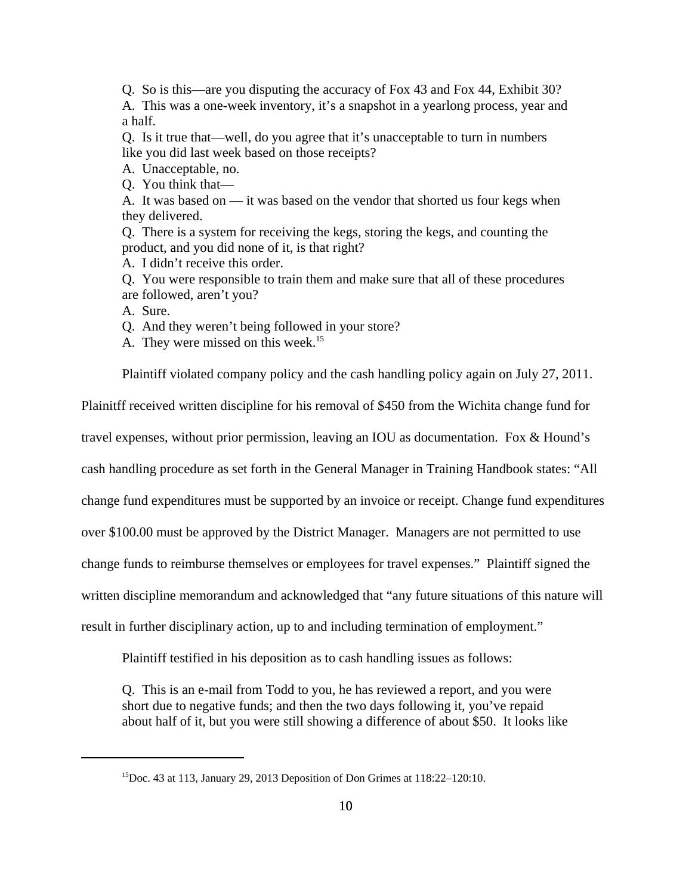Q. So is this—are you disputing the accuracy of Fox 43 and Fox 44, Exhibit 30? A. This was a one-week inventory, it's a snapshot in a yearlong process, year and a half.

Q. Is it true that—well, do you agree that it's unacceptable to turn in numbers like you did last week based on those receipts?

- A. Unacceptable, no.
- Q. You think that—

A. It was based on — it was based on the vendor that shorted us four kegs when they delivered.

Q. There is a system for receiving the kegs, storing the kegs, and counting the product, and you did none of it, is that right?

A. I didn't receive this order.

Q. You were responsible to train them and make sure that all of these procedures are followed, aren't you?

A. Sure.

Q. And they weren't being followed in your store?

A. They were missed on this week.<sup>15</sup>

Plaintiff violated company policy and the cash handling policy again on July 27, 2011.

Plainitff received written discipline for his removal of \$450 from the Wichita change fund for

travel expenses, without prior permission, leaving an IOU as documentation. Fox & Hound's

cash handling procedure as set forth in the General Manager in Training Handbook states: "All

change fund expenditures must be supported by an invoice or receipt. Change fund expenditures

over \$100.00 must be approved by the District Manager. Managers are not permitted to use

change funds to reimburse themselves or employees for travel expenses." Plaintiff signed the

written discipline memorandum and acknowledged that "any future situations of this nature will

result in further disciplinary action, up to and including termination of employment."

Plaintiff testified in his deposition as to cash handling issues as follows:

Q. This is an e-mail from Todd to you, he has reviewed a report, and you were short due to negative funds; and then the two days following it, you've repaid about half of it, but you were still showing a difference of about \$50. It looks like

<sup>&</sup>lt;sup>15</sup>Doc. 43 at 113, January 29, 2013 Deposition of Don Grimes at  $118:22-120:10$ .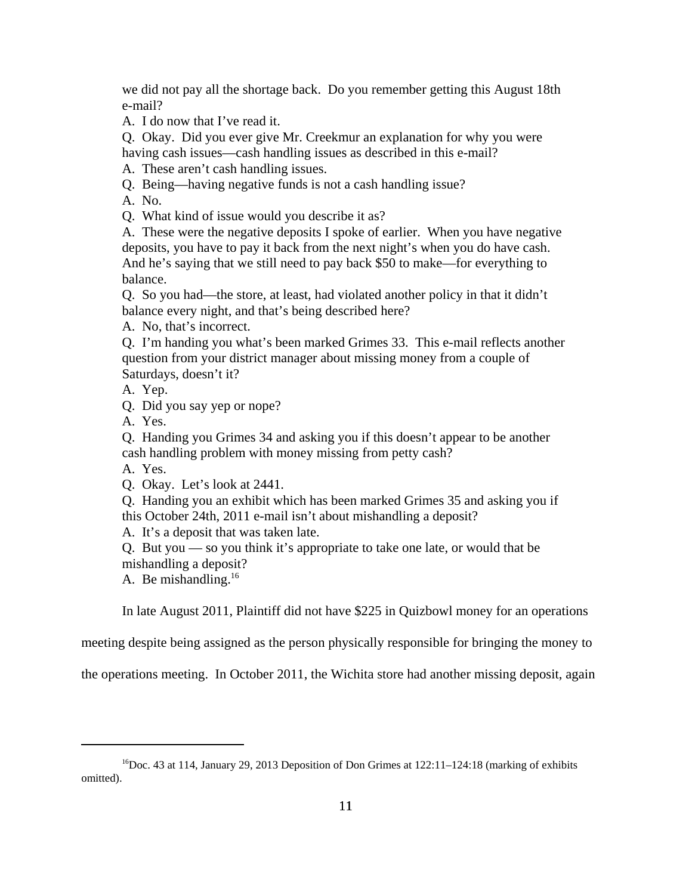we did not pay all the shortage back. Do you remember getting this August 18th e-mail?

A. I do now that I've read it.

Q. Okay. Did you ever give Mr. Creekmur an explanation for why you were having cash issues—cash handling issues as described in this e-mail?

A. These aren't cash handling issues.

Q. Being—having negative funds is not a cash handling issue?

A. No.

Q. What kind of issue would you describe it as?

A. These were the negative deposits I spoke of earlier. When you have negative deposits, you have to pay it back from the next night's when you do have cash. And he's saying that we still need to pay back \$50 to make—for everything to balance.

Q. So you had—the store, at least, had violated another policy in that it didn't balance every night, and that's being described here?

A. No, that's incorrect.

Q. I'm handing you what's been marked Grimes 33. This e-mail reflects another question from your district manager about missing money from a couple of Saturdays, doesn't it?

A. Yep.

Q. Did you say yep or nope?

A. Yes.

Q. Handing you Grimes 34 and asking you if this doesn't appear to be another cash handling problem with money missing from petty cash?

A. Yes.

Q. Okay. Let's look at 2441.

Q. Handing you an exhibit which has been marked Grimes 35 and asking you if this October 24th, 2011 e-mail isn't about mishandling a deposit?

A. It's a deposit that was taken late.

Q. But you — so you think it's appropriate to take one late, or would that be mishandling a deposit?

A. Be mishandling. $16$ 

In late August 2011, Plaintiff did not have \$225 in Quizbowl money for an operations

meeting despite being assigned as the person physically responsible for bringing the money to

the operations meeting. In October 2011, the Wichita store had another missing deposit, again

 $16Doc.$  43 at 114, January 29, 2013 Deposition of Don Grimes at 122:11–124:18 (marking of exhibits omitted).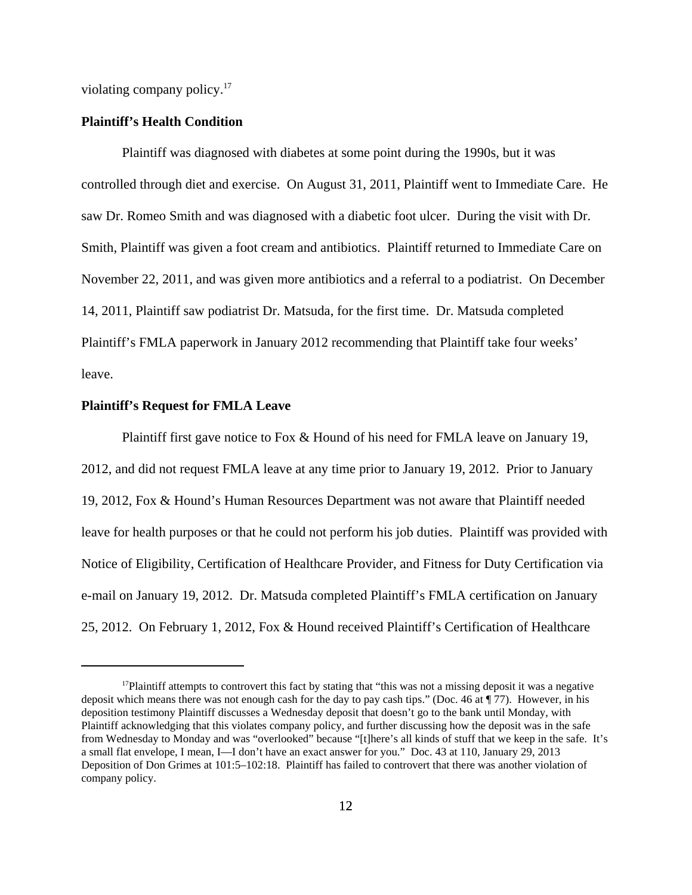violating company policy.<sup>17</sup>

#### **Plaintiff's Health Condition**

Plaintiff was diagnosed with diabetes at some point during the 1990s, but it was controlled through diet and exercise. On August 31, 2011, Plaintiff went to Immediate Care. He saw Dr. Romeo Smith and was diagnosed with a diabetic foot ulcer. During the visit with Dr. Smith, Plaintiff was given a foot cream and antibiotics. Plaintiff returned to Immediate Care on November 22, 2011, and was given more antibiotics and a referral to a podiatrist. On December 14, 2011, Plaintiff saw podiatrist Dr. Matsuda, for the first time. Dr. Matsuda completed Plaintiff's FMLA paperwork in January 2012 recommending that Plaintiff take four weeks' leave.

## **Plaintiff's Request for FMLA Leave**

Plaintiff first gave notice to Fox & Hound of his need for FMLA leave on January 19, 2012, and did not request FMLA leave at any time prior to January 19, 2012. Prior to January 19, 2012, Fox & Hound's Human Resources Department was not aware that Plaintiff needed leave for health purposes or that he could not perform his job duties. Plaintiff was provided with Notice of Eligibility, Certification of Healthcare Provider, and Fitness for Duty Certification via e-mail on January 19, 2012. Dr. Matsuda completed Plaintiff's FMLA certification on January 25, 2012. On February 1, 2012, Fox & Hound received Plaintiff's Certification of Healthcare

<sup>&</sup>lt;sup>17</sup>Plaintiff attempts to controvert this fact by stating that "this was not a missing deposit it was a negative deposit which means there was not enough cash for the day to pay cash tips." (Doc. 46 at ¶ 77). However, in his deposition testimony Plaintiff discusses a Wednesday deposit that doesn't go to the bank until Monday, with Plaintiff acknowledging that this violates company policy, and further discussing how the deposit was in the safe from Wednesday to Monday and was "overlooked" because "[t]here's all kinds of stuff that we keep in the safe. It's a small flat envelope, I mean, I—I don't have an exact answer for you." Doc. 43 at 110, January 29, 2013 Deposition of Don Grimes at 101:5–102:18. Plaintiff has failed to controvert that there was another violation of company policy.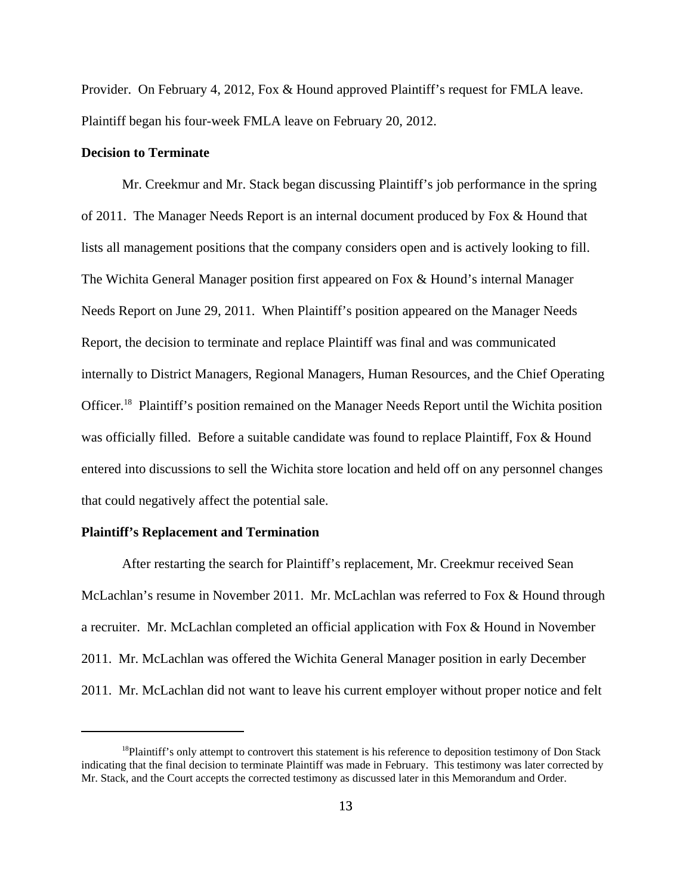Provider. On February 4, 2012, Fox & Hound approved Plaintiff's request for FMLA leave. Plaintiff began his four-week FMLA leave on February 20, 2012.

## **Decision to Terminate**

Mr. Creekmur and Mr. Stack began discussing Plaintiff's job performance in the spring of 2011. The Manager Needs Report is an internal document produced by Fox & Hound that lists all management positions that the company considers open and is actively looking to fill. The Wichita General Manager position first appeared on Fox & Hound's internal Manager Needs Report on June 29, 2011. When Plaintiff's position appeared on the Manager Needs Report, the decision to terminate and replace Plaintiff was final and was communicated internally to District Managers, Regional Managers, Human Resources, and the Chief Operating Officer.18 Plaintiff's position remained on the Manager Needs Report until the Wichita position was officially filled. Before a suitable candidate was found to replace Plaintiff, Fox & Hound entered into discussions to sell the Wichita store location and held off on any personnel changes that could negatively affect the potential sale.

#### **Plaintiff's Replacement and Termination**

After restarting the search for Plaintiff's replacement, Mr. Creekmur received Sean McLachlan's resume in November 2011. Mr. McLachlan was referred to Fox & Hound through a recruiter. Mr. McLachlan completed an official application with Fox & Hound in November 2011. Mr. McLachlan was offered the Wichita General Manager position in early December 2011. Mr. McLachlan did not want to leave his current employer without proper notice and felt

<sup>&</sup>lt;sup>18</sup>Plaintiff's only attempt to controvert this statement is his reference to deposition testimony of Don Stack indicating that the final decision to terminate Plaintiff was made in February. This testimony was later corrected by Mr. Stack, and the Court accepts the corrected testimony as discussed later in this Memorandum and Order.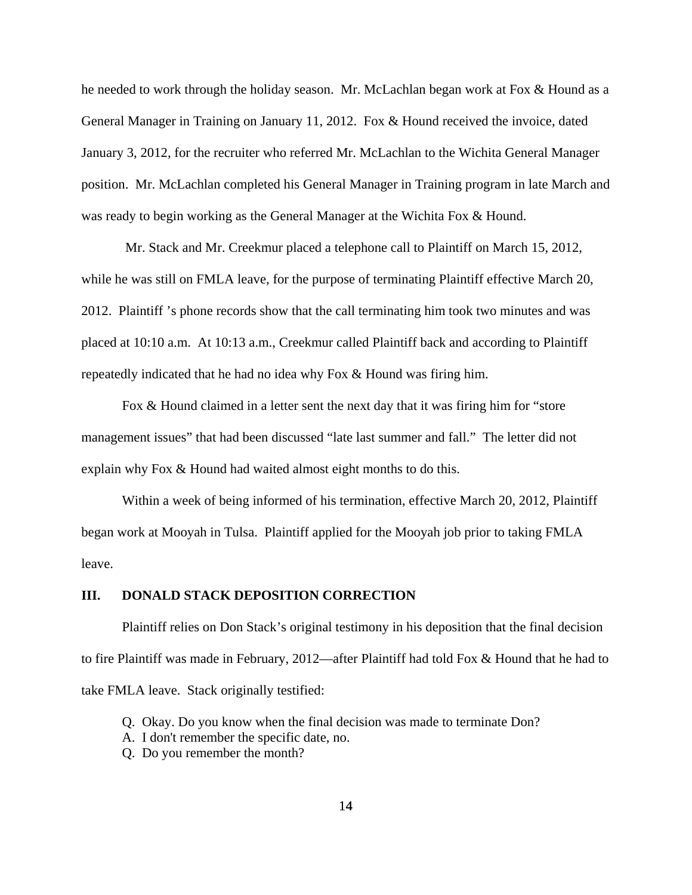he needed to work through the holiday season. Mr. McLachlan began work at Fox & Hound as a General Manager in Training on January 11, 2012. Fox & Hound received the invoice, dated January 3, 2012, for the recruiter who referred Mr. McLachlan to the Wichita General Manager position. Mr. McLachlan completed his General Manager in Training program in late March and was ready to begin working as the General Manager at the Wichita Fox & Hound.

 Mr. Stack and Mr. Creekmur placed a telephone call to Plaintiff on March 15, 2012, while he was still on FMLA leave, for the purpose of terminating Plaintiff effective March 20, 2012. Plaintiff 's phone records show that the call terminating him took two minutes and was placed at 10:10 a.m. At 10:13 a.m., Creekmur called Plaintiff back and according to Plaintiff repeatedly indicated that he had no idea why Fox & Hound was firing him.

Fox & Hound claimed in a letter sent the next day that it was firing him for "store management issues" that had been discussed "late last summer and fall." The letter did not explain why Fox & Hound had waited almost eight months to do this.

Within a week of being informed of his termination, effective March 20, 2012, Plaintiff began work at Mooyah in Tulsa. Plaintiff applied for the Mooyah job prior to taking FMLA leave.

# **III. DONALD STACK DEPOSITION CORRECTION**

Plaintiff relies on Don Stack's original testimony in his deposition that the final decision to fire Plaintiff was made in February, 2012—after Plaintiff had told Fox & Hound that he had to take FMLA leave. Stack originally testified:

- Q. Okay. Do you know when the final decision was made to terminate Don?
- A. I don't remember the specific date, no.
- Q. Do you remember the month?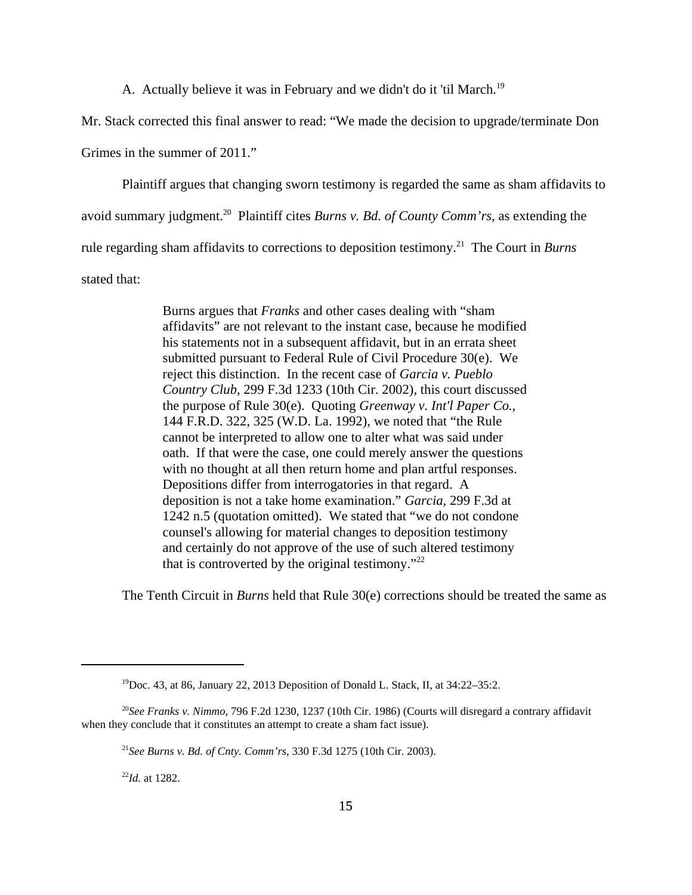A. Actually believe it was in February and we didn't do it 'til March.<sup>19</sup>

Mr. Stack corrected this final answer to read: "We made the decision to upgrade/terminate Don

Grimes in the summer of 2011."

Plaintiff argues that changing sworn testimony is regarded the same as sham affidavits to

avoid summary judgment.20 Plaintiff cites *Burns v. Bd. of County Comm'rs*, as extending the

rule regarding sham affidavits to corrections to deposition testimony.21 The Court in *Burns*

stated that:

Burns argues that *Franks* and other cases dealing with "sham affidavits" are not relevant to the instant case, because he modified his statements not in a subsequent affidavit, but in an errata sheet submitted pursuant to Federal Rule of Civil Procedure 30(e). We reject this distinction. In the recent case of *Garcia v. Pueblo Country Club*, 299 F.3d 1233 (10th Cir. 2002), this court discussed the purpose of Rule 30(e). Quoting *Greenway v. Int'l Paper Co.*, 144 F.R.D. 322, 325 (W.D. La. 1992), we noted that "the Rule cannot be interpreted to allow one to alter what was said under oath. If that were the case, one could merely answer the questions with no thought at all then return home and plan artful responses. Depositions differ from interrogatories in that regard. A deposition is not a take home examination." *Garcia*, 299 F.3d at 1242 n.5 (quotation omitted). We stated that "we do not condone counsel's allowing for material changes to deposition testimony and certainly do not approve of the use of such altered testimony that is controverted by the original testimony." $^{22}$ 

The Tenth Circuit in *Burns* held that Rule 30(e) corrections should be treated the same as

<sup>22</sup>*Id.* at 1282.

<sup>19</sup>Doc. 43, at 86, January 22, 2013 Deposition of Donald L. Stack, II, at 34:22–35:2.

<sup>20</sup>*See Franks v. Nimmo*, 796 F.2d 1230, 1237 (10th Cir. 1986) (Courts will disregard a contrary affidavit when they conclude that it constitutes an attempt to create a sham fact issue).

<sup>21</sup>*See Burns v. Bd. of Cnty. Comm'rs*, 330 F.3d 1275 (10th Cir. 2003).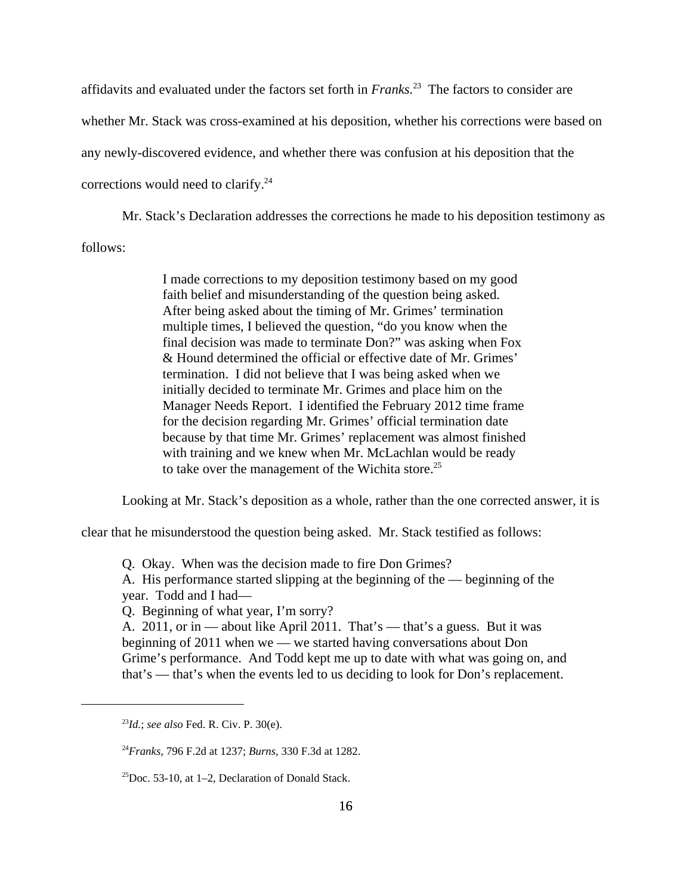affidavits and evaluated under the factors set forth in *Franks.*23 The factors to consider are whether Mr. Stack was cross-examined at his deposition, whether his corrections were based on any newly-discovered evidence, and whether there was confusion at his deposition that the corrections would need to clarify. $^{24}$ 

Mr. Stack's Declaration addresses the corrections he made to his deposition testimony as follows:

> I made corrections to my deposition testimony based on my good faith belief and misunderstanding of the question being asked. After being asked about the timing of Mr. Grimes' termination multiple times, I believed the question, "do you know when the final decision was made to terminate Don?" was asking when Fox & Hound determined the official or effective date of Mr. Grimes' termination. I did not believe that I was being asked when we initially decided to terminate Mr. Grimes and place him on the Manager Needs Report. I identified the February 2012 time frame for the decision regarding Mr. Grimes' official termination date because by that time Mr. Grimes' replacement was almost finished with training and we knew when Mr. McLachlan would be ready to take over the management of the Wichita store.<sup>25</sup>

Looking at Mr. Stack's deposition as a whole, rather than the one corrected answer, it is

clear that he misunderstood the question being asked. Mr. Stack testified as follows:

Q. Okay. When was the decision made to fire Don Grimes?

A. His performance started slipping at the beginning of the — beginning of the year. Todd and I had—

Q. Beginning of what year, I'm sorry?

A. 2011, or in — about like April 2011. That's — that's a guess. But it was beginning of 2011 when we — we started having conversations about Don Grime's performance. And Todd kept me up to date with what was going on, and that's — that's when the events led to us deciding to look for Don's replacement.

<sup>23</sup>*Id.*; *see also* Fed. R. Civ. P. 30(e).

<sup>24</sup>*Franks*, 796 F.2d at 1237; *Burns*, 330 F.3d at 1282.

 $^{25}$ Doc. 53-10, at 1–2, Declaration of Donald Stack.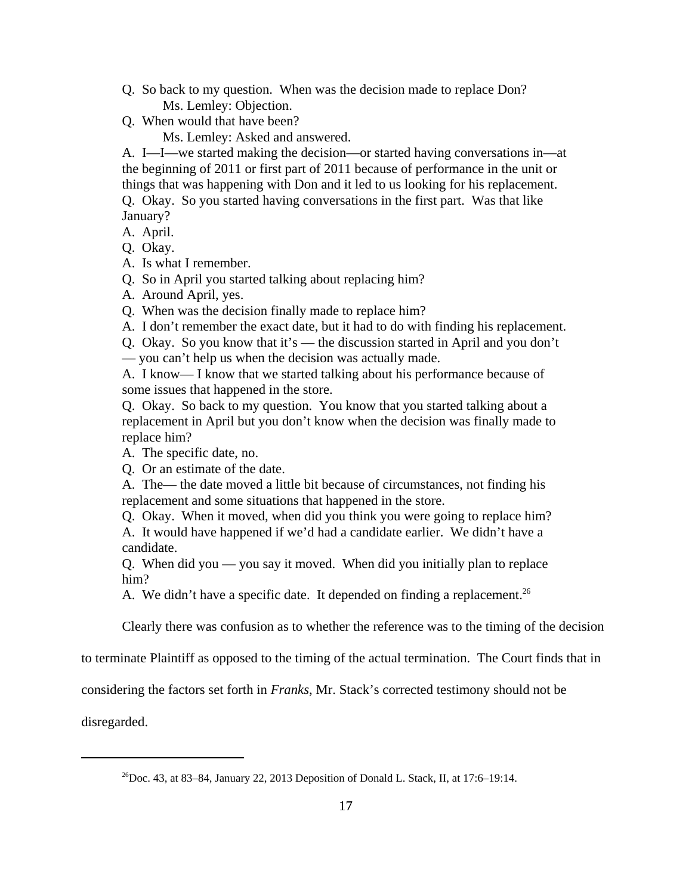- Q. So back to my question. When was the decision made to replace Don? Ms. Lemley: Objection.
- Q. When would that have been?

Ms. Lemley: Asked and answered.

A. I—I—we started making the decision—or started having conversations in—at the beginning of 2011 or first part of 2011 because of performance in the unit or things that was happening with Don and it led to us looking for his replacement.

Q. Okay. So you started having conversations in the first part. Was that like January?

A. April.

Q. Okay.

A. Is what I remember.

Q. So in April you started talking about replacing him?

A. Around April, yes.

Q. When was the decision finally made to replace him?

A. I don't remember the exact date, but it had to do with finding his replacement.

Q. Okay. So you know that it's — the discussion started in April and you don't

— you can't help us when the decision was actually made.

A. I know— I know that we started talking about his performance because of some issues that happened in the store.

Q. Okay. So back to my question. You know that you started talking about a replacement in April but you don't know when the decision was finally made to replace him?

A. The specific date, no.

Q. Or an estimate of the date.

A. The— the date moved a little bit because of circumstances, not finding his replacement and some situations that happened in the store.

Q. Okay. When it moved, when did you think you were going to replace him?

A. It would have happened if we'd had a candidate earlier. We didn't have a candidate.

Q. When did you — you say it moved. When did you initially plan to replace him?

A. We didn't have a specific date. It depended on finding a replacement.<sup>26</sup>

Clearly there was confusion as to whether the reference was to the timing of the decision

to terminate Plaintiff as opposed to the timing of the actual termination. The Court finds that in

considering the factors set forth in *Franks*, Mr. Stack's corrected testimony should not be

disregarded.

<sup>&</sup>lt;sup>26</sup>Doc. 43, at 83–84, January 22, 2013 Deposition of Donald L. Stack, II, at 17:6–19:14.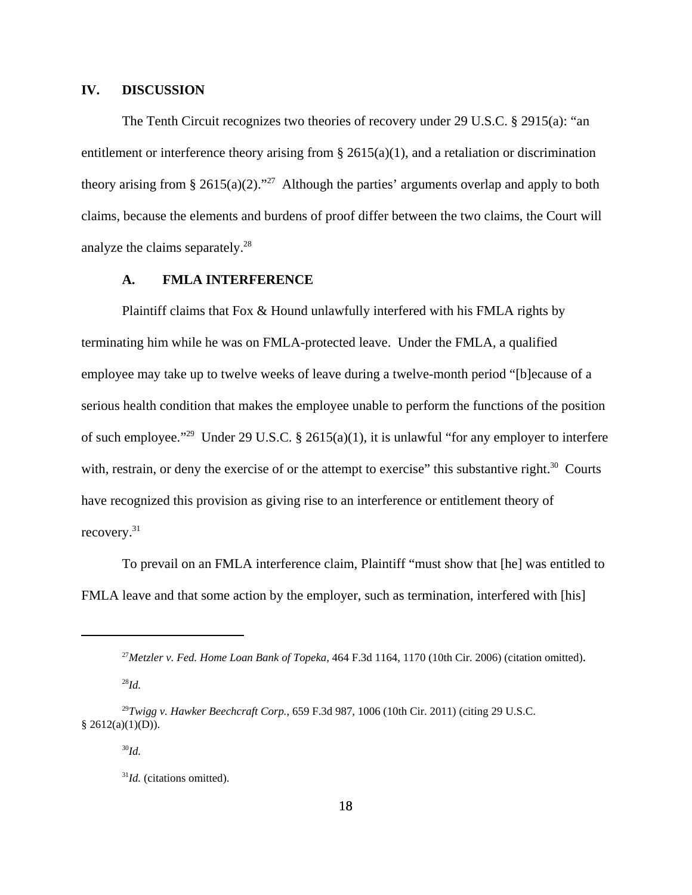# **IV. DISCUSSION**

The Tenth Circuit recognizes two theories of recovery under 29 U.S.C. § 2915(a): "an entitlement or interference theory arising from § 2615(a)(1), and a retaliation or discrimination theory arising from § 2615(a)(2)."<sup>27</sup> Although the parties' arguments overlap and apply to both claims, because the elements and burdens of proof differ between the two claims, the Court will analyze the claims separately.<sup>28</sup>

# **A. FMLA INTERFERENCE**

Plaintiff claims that Fox  $&$  Hound unlawfully interfered with his FMLA rights by terminating him while he was on FMLA-protected leave. Under the FMLA, a qualified employee may take up to twelve weeks of leave during a twelve-month period "[b]ecause of a serious health condition that makes the employee unable to perform the functions of the position of such employee."29 Under 29 U.S.C. § 2615(a)(1), it is unlawful "for any employer to interfere with, restrain, or deny the exercise of or the attempt to exercise" this substantive right.<sup>30</sup> Courts have recognized this provision as giving rise to an interference or entitlement theory of recovery.31

To prevail on an FMLA interference claim, Plaintiff "must show that [he] was entitled to FMLA leave and that some action by the employer, such as termination, interfered with [his]

<sup>28</sup>*Id.*

<sup>27</sup>*Metzler v. Fed. Home Loan Bank of Topeka,* 464 F.3d 1164, 1170 (10th Cir. 2006) (citation omitted).

<sup>29</sup>*Twigg v. Hawker Beechcraft Corp.*, 659 F.3d 987, 1006 (10th Cir. 2011) (citing 29 U.S.C.  $§$  2612(a)(1)(D)).

<sup>30</sup>*Id.*

<sup>&</sup>lt;sup>31</sup>*Id.* (citations omitted).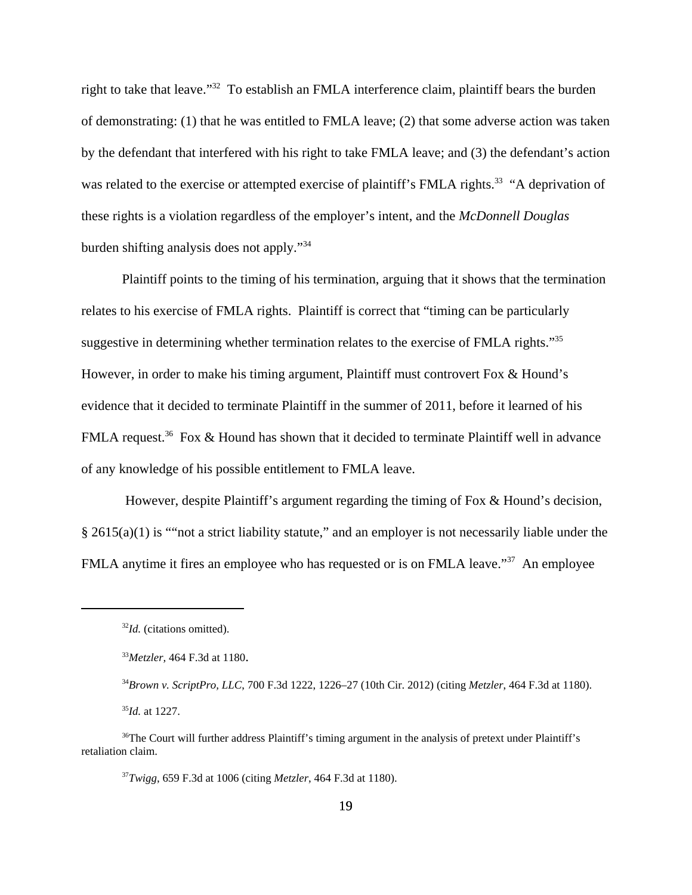right to take that leave."32 To establish an FMLA interference claim, plaintiff bears the burden of demonstrating: (1) that he was entitled to FMLA leave; (2) that some adverse action was taken by the defendant that interfered with his right to take FMLA leave; and (3) the defendant's action was related to the exercise or attempted exercise of plaintiff's FMLA rights.<sup>33</sup> "A deprivation of these rights is a violation regardless of the employer's intent, and the *McDonnell Douglas* burden shifting analysis does not apply."34

Plaintiff points to the timing of his termination, arguing that it shows that the termination relates to his exercise of FMLA rights. Plaintiff is correct that "timing can be particularly suggestive in determining whether termination relates to the exercise of FMLA rights."<sup>35</sup> However, in order to make his timing argument, Plaintiff must controvert Fox & Hound's evidence that it decided to terminate Plaintiff in the summer of 2011, before it learned of his FMLA request.<sup>36</sup> Fox & Hound has shown that it decided to terminate Plaintiff well in advance of any knowledge of his possible entitlement to FMLA leave.

 However, despite Plaintiff's argument regarding the timing of Fox & Hound's decision, § 2615(a)(1) is ""not a strict liability statute," and an employer is not necessarily liable under the FMLA anytime it fires an employee who has requested or is on FMLA leave."<sup>37</sup> An employee

<sup>32</sup>*Id.* (citations omitted).

<sup>33</sup>*Metzler,* 464 F.3d at 1180.

<sup>34</sup>*Brown v. ScriptPro, LLC*, 700 F.3d 1222, 1226–27 (10th Cir. 2012) (citing *Metzler*, 464 F.3d at 1180). <sup>35</sup>*Id.* at 1227.

<sup>&</sup>lt;sup>36</sup>The Court will further address Plaintiff's timing argument in the analysis of pretext under Plaintiff's retaliation claim.

<sup>37</sup>*Twigg*, 659 F.3d at 1006 (citing *Metzler*, 464 F.3d at 1180).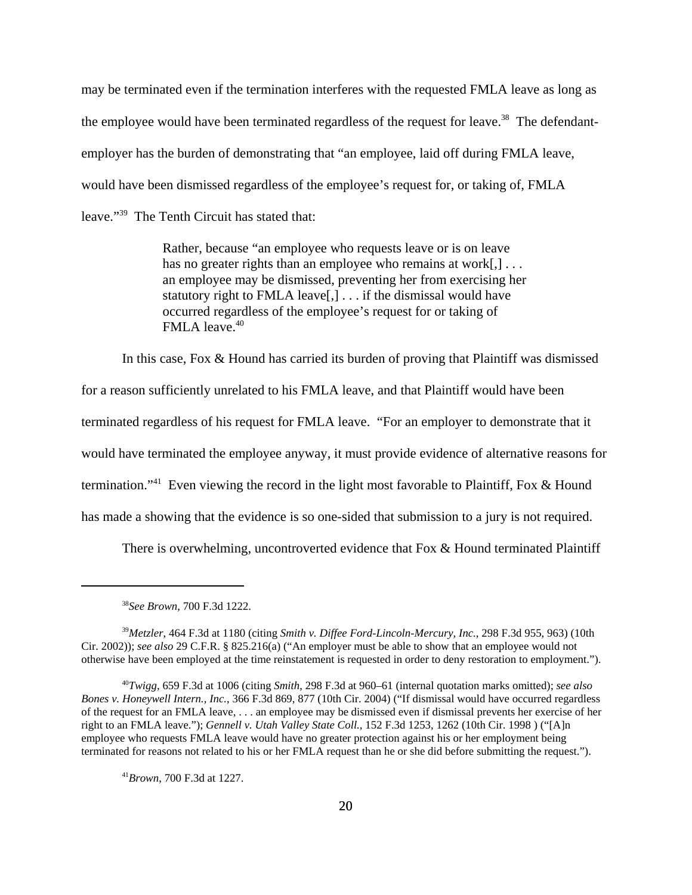may be terminated even if the termination interferes with the requested FMLA leave as long as the employee would have been terminated regardless of the request for leave.38The defendantemployer has the burden of demonstrating that "an employee, laid off during FMLA leave, would have been dismissed regardless of the employee's request for, or taking of, FMLA leave."39 The Tenth Circuit has stated that:

> Rather, because "an employee who requests leave or is on leave has no greater rights than an employee who remains at work[,]... an employee may be dismissed, preventing her from exercising her statutory right to FMLA leave[,] . . . if the dismissal would have occurred regardless of the employee's request for or taking of FMLA leave.<sup>40</sup>

In this case, Fox & Hound has carried its burden of proving that Plaintiff was dismissed

for a reason sufficiently unrelated to his FMLA leave, and that Plaintiff would have been

terminated regardless of his request for FMLA leave. "For an employer to demonstrate that it

would have terminated the employee anyway, it must provide evidence of alternative reasons for

termination."<sup>41</sup> Even viewing the record in the light most favorable to Plaintiff, Fox  $\&$  Hound

has made a showing that the evidence is so one-sided that submission to a jury is not required.

There is overwhelming, uncontroverted evidence that Fox & Hound terminated Plaintiff

<sup>39</sup>*Metzler*, 464 F.3d at 1180 (citing *Smith v. Diffee Ford-Lincoln-Mercury, Inc.*, 298 F.3d 955, 963) (10th Cir. 2002)); *see also* 29 C.F.R. § 825.216(a) ("An employer must be able to show that an employee would not otherwise have been employed at the time reinstatement is requested in order to deny restoration to employment.").

<sup>40</sup>*Twigg*, 659 F.3d at 1006 (citing *Smith*, 298 F.3d at 960–61 (internal quotation marks omitted); *see also Bones v. Honeywell Intern., Inc.*, 366 F.3d 869, 877 (10th Cir. 2004) ("If dismissal would have occurred regardless of the request for an FMLA leave, . . . an employee may be dismissed even if dismissal prevents her exercise of her right to an FMLA leave."); *Gennell v. Utah Valley State Coll.*, 152 F.3d 1253, 1262 (10th Cir. 1998 ) ("[A]n employee who requests FMLA leave would have no greater protection against his or her employment being terminated for reasons not related to his or her FMLA request than he or she did before submitting the request.").

<sup>41</sup>*Brown*, 700 F.3d at 1227.

<sup>38</sup>*See Brown*, 700 F.3d 1222.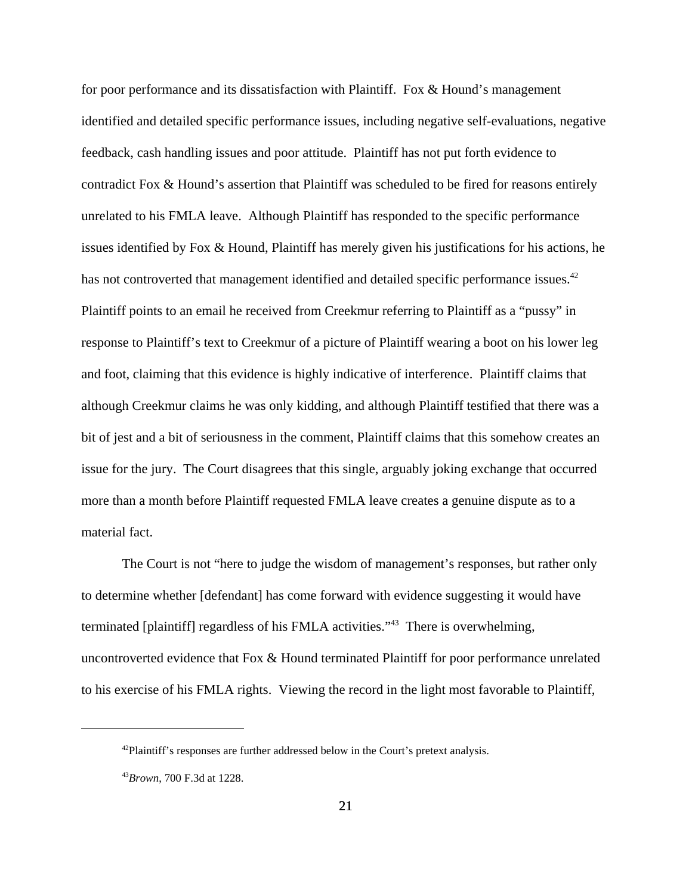for poor performance and its dissatisfaction with Plaintiff. Fox & Hound's management identified and detailed specific performance issues, including negative self-evaluations, negative feedback, cash handling issues and poor attitude. Plaintiff has not put forth evidence to contradict Fox & Hound's assertion that Plaintiff was scheduled to be fired for reasons entirely unrelated to his FMLA leave. Although Plaintiff has responded to the specific performance issues identified by Fox & Hound, Plaintiff has merely given his justifications for his actions, he has not controverted that management identified and detailed specific performance issues.<sup>42</sup> Plaintiff points to an email he received from Creekmur referring to Plaintiff as a "pussy" in response to Plaintiff's text to Creekmur of a picture of Plaintiff wearing a boot on his lower leg and foot, claiming that this evidence is highly indicative of interference. Plaintiff claims that although Creekmur claims he was only kidding, and although Plaintiff testified that there was a bit of jest and a bit of seriousness in the comment, Plaintiff claims that this somehow creates an issue for the jury. The Court disagrees that this single, arguably joking exchange that occurred more than a month before Plaintiff requested FMLA leave creates a genuine dispute as to a material fact.

The Court is not "here to judge the wisdom of management's responses, but rather only to determine whether [defendant] has come forward with evidence suggesting it would have terminated [plaintiff] regardless of his FMLA activities."43 There is overwhelming, uncontroverted evidence that Fox & Hound terminated Plaintiff for poor performance unrelated to his exercise of his FMLA rights. Viewing the record in the light most favorable to Plaintiff,

<sup>&</sup>lt;sup>42</sup>Plaintiff's responses are further addressed below in the Court's pretext analysis.

<sup>43</sup>*Brown*, 700 F.3d at 1228.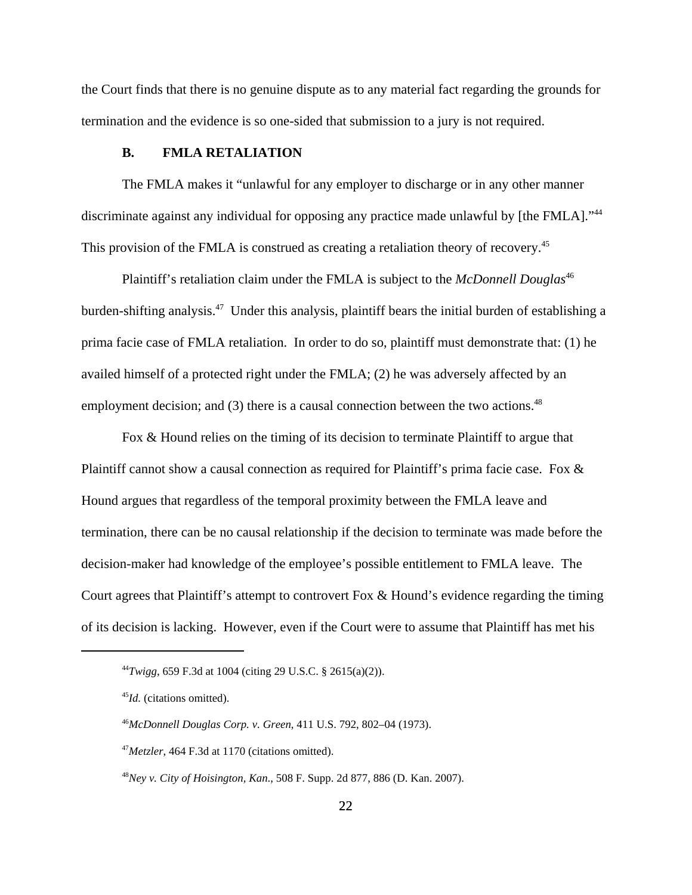the Court finds that there is no genuine dispute as to any material fact regarding the grounds for termination and the evidence is so one-sided that submission to a jury is not required.

## **B. FMLA RETALIATION**

The FMLA makes it "unlawful for any employer to discharge or in any other manner discriminate against any individual for opposing any practice made unlawful by [the FMLA]."<sup>44</sup> This provision of the FMLA is construed as creating a retaliation theory of recovery.<sup>45</sup>

Plaintiff's retaliation claim under the FMLA is subject to the *McDonnell Douglas*<sup>46</sup> burden-shifting analysis.47 Under this analysis, plaintiff bears the initial burden of establishing a prima facie case of FMLA retaliation. In order to do so, plaintiff must demonstrate that: (1) he availed himself of a protected right under the FMLA; (2) he was adversely affected by an employment decision; and  $(3)$  there is a causal connection between the two actions.<sup>48</sup>

Fox & Hound relies on the timing of its decision to terminate Plaintiff to argue that Plaintiff cannot show a causal connection as required for Plaintiff's prima facie case. Fox & Hound argues that regardless of the temporal proximity between the FMLA leave and termination, there can be no causal relationship if the decision to terminate was made before the decision-maker had knowledge of the employee's possible entitlement to FMLA leave. The Court agrees that Plaintiff's attempt to controvert Fox & Hound's evidence regarding the timing of its decision is lacking. However, even if the Court were to assume that Plaintiff has met his

<sup>44</sup>*Twigg*, 659 F.3d at 1004 (citing 29 U.S.C. § 2615(a)(2)).

<sup>45</sup>*Id.* (citations omitted).

<sup>46</sup>*McDonnell Douglas Corp. v. Green*, 411 U.S. 792, 802–04 (1973).

<sup>&</sup>lt;sup>47</sup>*Metzler*, 464 F.3d at 1170 (citations omitted).

<sup>48</sup>*Ney v. City of Hoisington, Kan*., 508 F. Supp. 2d 877, 886 (D. Kan. 2007).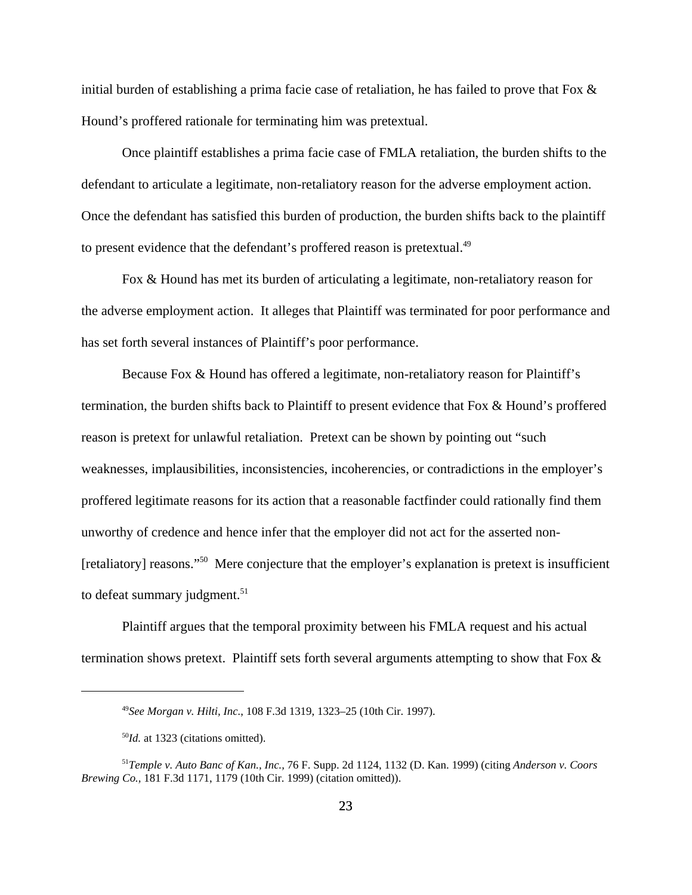initial burden of establishing a prima facie case of retaliation, he has failed to prove that Fox  $\&$ Hound's proffered rationale for terminating him was pretextual.

Once plaintiff establishes a prima facie case of FMLA retaliation, the burden shifts to the defendant to articulate a legitimate, non-retaliatory reason for the adverse employment action. Once the defendant has satisfied this burden of production, the burden shifts back to the plaintiff to present evidence that the defendant's proffered reason is pretextual.<sup>49</sup>

Fox & Hound has met its burden of articulating a legitimate, non-retaliatory reason for the adverse employment action. It alleges that Plaintiff was terminated for poor performance and has set forth several instances of Plaintiff's poor performance.

Because Fox & Hound has offered a legitimate, non-retaliatory reason for Plaintiff's termination, the burden shifts back to Plaintiff to present evidence that Fox & Hound's proffered reason is pretext for unlawful retaliation. Pretext can be shown by pointing out "such weaknesses, implausibilities, inconsistencies, incoherencies, or contradictions in the employer's proffered legitimate reasons for its action that a reasonable factfinder could rationally find them unworthy of credence and hence infer that the employer did not act for the asserted non- [retaliatory] reasons."50 Mere conjecture that the employer's explanation is pretext is insufficient to defeat summary judgment. $51$ 

Plaintiff argues that the temporal proximity between his FMLA request and his actual termination shows pretext. Plaintiff sets forth several arguments attempting to show that Fox &

<sup>49</sup>*See Morgan v. Hilti, Inc.*, 108 F.3d 1319, 1323–25 (10th Cir. 1997).

<sup>50</sup>*Id.* at 1323 (citations omitted).

<sup>51</sup>*Temple v. Auto Banc of Kan., Inc.,* 76 F. Supp. 2d 1124, 1132 (D. Kan. 1999) (citing *Anderson v. Coors Brewing Co.,* 181 F.3d 1171, 1179 (10th Cir. 1999) (citation omitted)).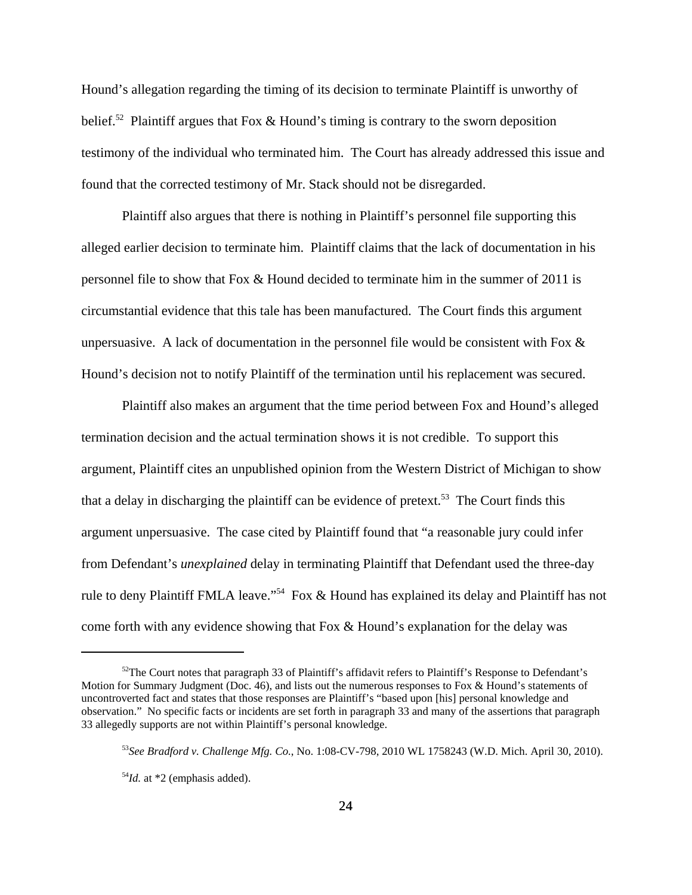Hound's allegation regarding the timing of its decision to terminate Plaintiff is unworthy of belief.<sup>52</sup> Plaintiff argues that Fox & Hound's timing is contrary to the sworn deposition testimony of the individual who terminated him. The Court has already addressed this issue and found that the corrected testimony of Mr. Stack should not be disregarded.

Plaintiff also argues that there is nothing in Plaintiff's personnel file supporting this alleged earlier decision to terminate him. Plaintiff claims that the lack of documentation in his personnel file to show that Fox & Hound decided to terminate him in the summer of 2011 is circumstantial evidence that this tale has been manufactured. The Court finds this argument unpersuasive. A lack of documentation in the personnel file would be consistent with Fox  $\&$ Hound's decision not to notify Plaintiff of the termination until his replacement was secured.

Plaintiff also makes an argument that the time period between Fox and Hound's alleged termination decision and the actual termination shows it is not credible. To support this argument, Plaintiff cites an unpublished opinion from the Western District of Michigan to show that a delay in discharging the plaintiff can be evidence of pretext.<sup>53</sup> The Court finds this argument unpersuasive. The case cited by Plaintiff found that "a reasonable jury could infer from Defendant's *unexplained* delay in terminating Plaintiff that Defendant used the three-day rule to deny Plaintiff FMLA leave."<sup>54</sup> Fox & Hound has explained its delay and Plaintiff has not come forth with any evidence showing that Fox & Hound's explanation for the delay was

 $52$ The Court notes that paragraph 33 of Plaintiff's affidavit refers to Plaintiff's Response to Defendant's Motion for Summary Judgment (Doc. 46), and lists out the numerous responses to Fox & Hound's statements of uncontroverted fact and states that those responses are Plaintiff's "based upon [his] personal knowledge and observation." No specific facts or incidents are set forth in paragraph 33 and many of the assertions that paragraph 33 allegedly supports are not within Plaintiff's personal knowledge.

<sup>53</sup>*See Bradford v. Challenge Mfg. Co.*, No. 1:08-CV-798, 2010 WL 1758243 (W.D. Mich. April 30, 2010).

<sup>54</sup>*Id.* at \*2 (emphasis added).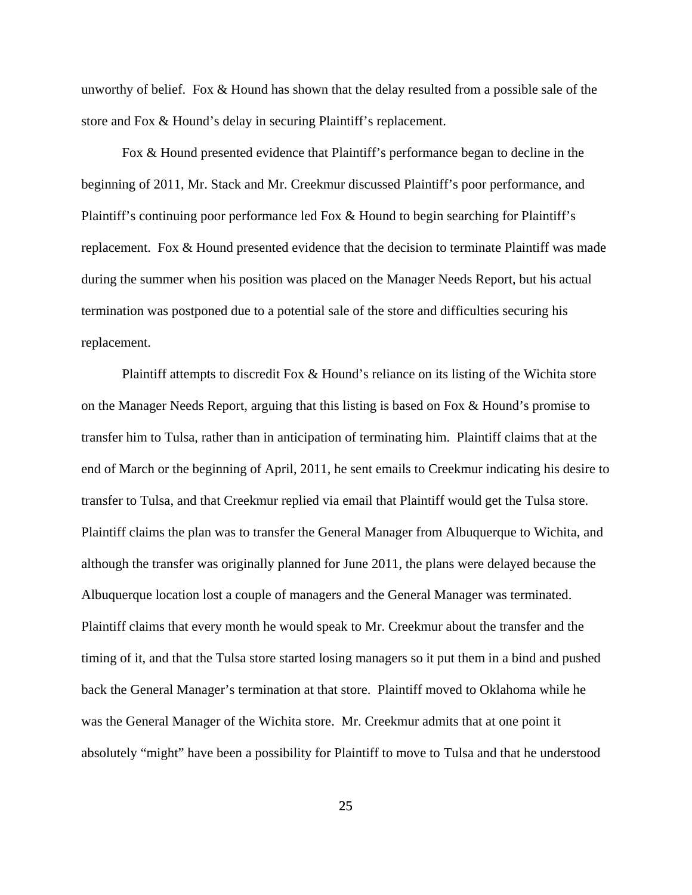unworthy of belief. Fox & Hound has shown that the delay resulted from a possible sale of the store and Fox & Hound's delay in securing Plaintiff's replacement.

Fox & Hound presented evidence that Plaintiff's performance began to decline in the beginning of 2011, Mr. Stack and Mr. Creekmur discussed Plaintiff's poor performance, and Plaintiff's continuing poor performance led Fox & Hound to begin searching for Plaintiff's replacement. Fox & Hound presented evidence that the decision to terminate Plaintiff was made during the summer when his position was placed on the Manager Needs Report, but his actual termination was postponed due to a potential sale of the store and difficulties securing his replacement.

Plaintiff attempts to discredit Fox & Hound's reliance on its listing of the Wichita store on the Manager Needs Report, arguing that this listing is based on Fox & Hound's promise to transfer him to Tulsa, rather than in anticipation of terminating him. Plaintiff claims that at the end of March or the beginning of April, 2011, he sent emails to Creekmur indicating his desire to transfer to Tulsa, and that Creekmur replied via email that Plaintiff would get the Tulsa store. Plaintiff claims the plan was to transfer the General Manager from Albuquerque to Wichita, and although the transfer was originally planned for June 2011, the plans were delayed because the Albuquerque location lost a couple of managers and the General Manager was terminated. Plaintiff claims that every month he would speak to Mr. Creekmur about the transfer and the timing of it, and that the Tulsa store started losing managers so it put them in a bind and pushed back the General Manager's termination at that store. Plaintiff moved to Oklahoma while he was the General Manager of the Wichita store. Mr. Creekmur admits that at one point it absolutely "might" have been a possibility for Plaintiff to move to Tulsa and that he understood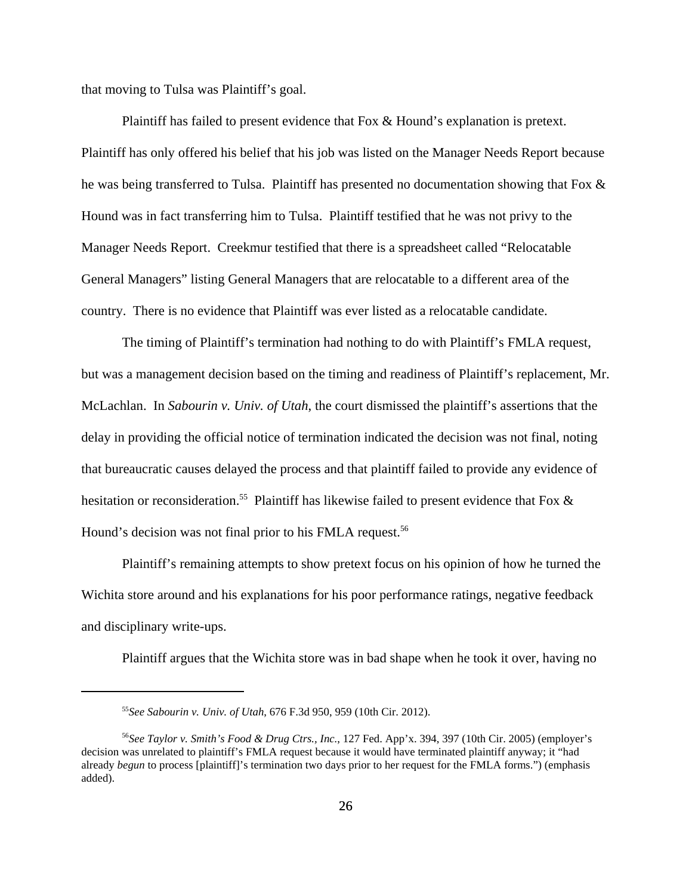that moving to Tulsa was Plaintiff's goal.

Plaintiff has failed to present evidence that Fox & Hound's explanation is pretext. Plaintiff has only offered his belief that his job was listed on the Manager Needs Report because he was being transferred to Tulsa. Plaintiff has presented no documentation showing that Fox & Hound was in fact transferring him to Tulsa. Plaintiff testified that he was not privy to the Manager Needs Report. Creekmur testified that there is a spreadsheet called "Relocatable General Managers" listing General Managers that are relocatable to a different area of the country. There is no evidence that Plaintiff was ever listed as a relocatable candidate.

The timing of Plaintiff's termination had nothing to do with Plaintiff's FMLA request, but was a management decision based on the timing and readiness of Plaintiff's replacement, Mr. McLachlan. In *Sabourin v. Univ. of Utah*, the court dismissed the plaintiff's assertions that the delay in providing the official notice of termination indicated the decision was not final, noting that bureaucratic causes delayed the process and that plaintiff failed to provide any evidence of hesitation or reconsideration.<sup>55</sup> Plaintiff has likewise failed to present evidence that Fox & Hound's decision was not final prior to his FMLA request.<sup>56</sup>

Plaintiff's remaining attempts to show pretext focus on his opinion of how he turned the Wichita store around and his explanations for his poor performance ratings, negative feedback and disciplinary write-ups.

Plaintiff argues that the Wichita store was in bad shape when he took it over, having no

<sup>55</sup>*See Sabourin v. Univ. of Utah*, 676 F.3d 950, 959 (10th Cir. 2012).

<sup>56</sup>*See Taylor v. Smith's Food & Drug Ctrs., Inc.*, 127 Fed. App'x. 394, 397 (10th Cir. 2005) (employer's decision was unrelated to plaintiff's FMLA request because it would have terminated plaintiff anyway; it "had already *begun* to process [plaintiff]'s termination two days prior to her request for the FMLA forms.") (emphasis added).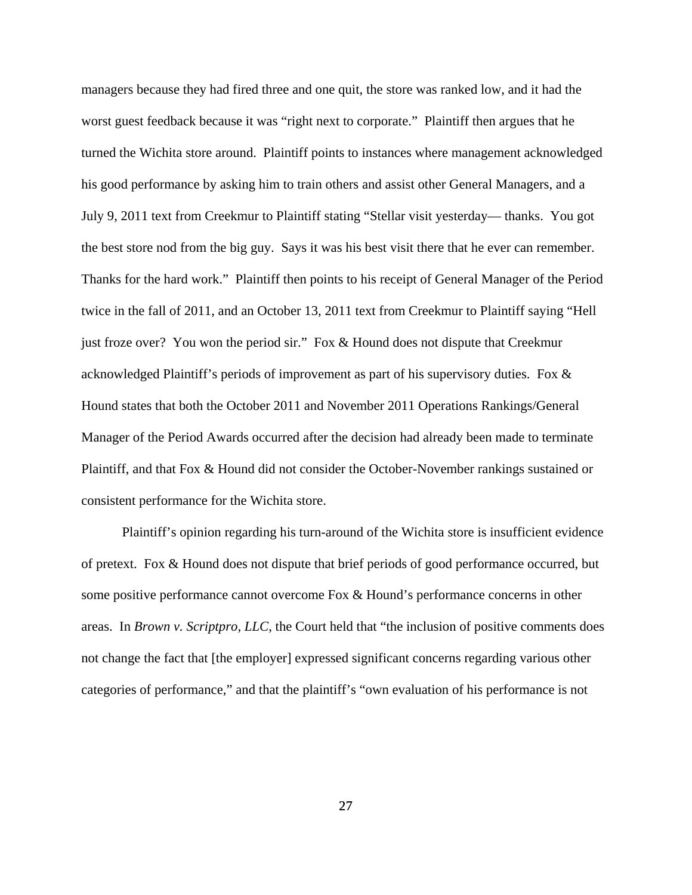managers because they had fired three and one quit, the store was ranked low, and it had the worst guest feedback because it was "right next to corporate." Plaintiff then argues that he turned the Wichita store around. Plaintiff points to instances where management acknowledged his good performance by asking him to train others and assist other General Managers, and a July 9, 2011 text from Creekmur to Plaintiff stating "Stellar visit yesterday— thanks. You got the best store nod from the big guy. Says it was his best visit there that he ever can remember. Thanks for the hard work." Plaintiff then points to his receipt of General Manager of the Period twice in the fall of 2011, and an October 13, 2011 text from Creekmur to Plaintiff saying "Hell just froze over? You won the period sir." Fox & Hound does not dispute that Creekmur acknowledged Plaintiff's periods of improvement as part of his supervisory duties. Fox & Hound states that both the October 2011 and November 2011 Operations Rankings/General Manager of the Period Awards occurred after the decision had already been made to terminate Plaintiff, and that Fox & Hound did not consider the October-November rankings sustained or consistent performance for the Wichita store.

Plaintiff's opinion regarding his turn-around of the Wichita store is insufficient evidence of pretext. Fox & Hound does not dispute that brief periods of good performance occurred, but some positive performance cannot overcome Fox & Hound's performance concerns in other areas. In *Brown v. Scriptpro, LLC*, the Court held that "the inclusion of positive comments does not change the fact that [the employer] expressed significant concerns regarding various other categories of performance," and that the plaintiff's "own evaluation of his performance is not

27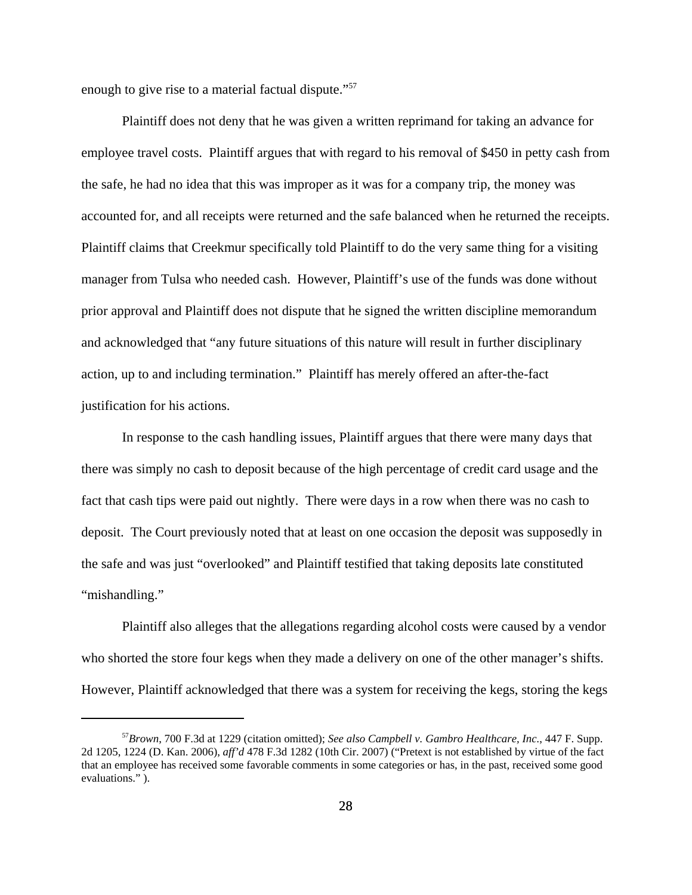enough to give rise to a material factual dispute."<sup>57</sup>

Plaintiff does not deny that he was given a written reprimand for taking an advance for employee travel costs. Plaintiff argues that with regard to his removal of \$450 in petty cash from the safe, he had no idea that this was improper as it was for a company trip, the money was accounted for, and all receipts were returned and the safe balanced when he returned the receipts. Plaintiff claims that Creekmur specifically told Plaintiff to do the very same thing for a visiting manager from Tulsa who needed cash. However, Plaintiff's use of the funds was done without prior approval and Plaintiff does not dispute that he signed the written discipline memorandum and acknowledged that "any future situations of this nature will result in further disciplinary action, up to and including termination." Plaintiff has merely offered an after-the-fact justification for his actions.

In response to the cash handling issues, Plaintiff argues that there were many days that there was simply no cash to deposit because of the high percentage of credit card usage and the fact that cash tips were paid out nightly. There were days in a row when there was no cash to deposit. The Court previously noted that at least on one occasion the deposit was supposedly in the safe and was just "overlooked" and Plaintiff testified that taking deposits late constituted "mishandling."

Plaintiff also alleges that the allegations regarding alcohol costs were caused by a vendor who shorted the store four kegs when they made a delivery on one of the other manager's shifts. However, Plaintiff acknowledged that there was a system for receiving the kegs, storing the kegs

<sup>57</sup>*Brown*, 700 F.3d at 1229 (citation omitted); *See also Campbell v. Gambro Healthcare, Inc.*, 447 F. Supp. 2d 1205, 1224 (D. Kan. 2006), *aff'd* 478 F.3d 1282 (10th Cir. 2007) ("Pretext is not established by virtue of the fact that an employee has received some favorable comments in some categories or has, in the past, received some good evaluations." ).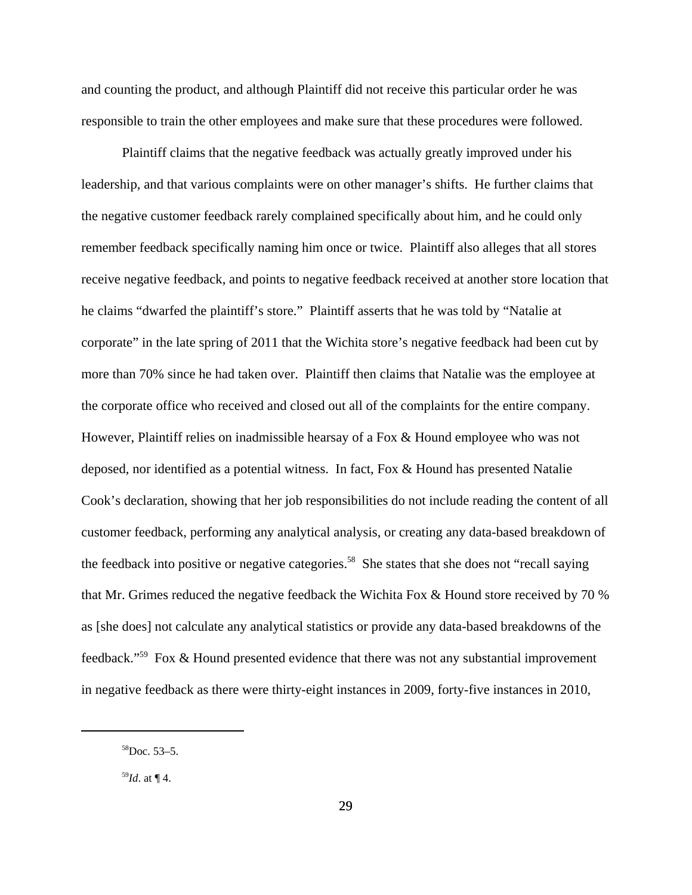and counting the product, and although Plaintiff did not receive this particular order he was responsible to train the other employees and make sure that these procedures were followed.

Plaintiff claims that the negative feedback was actually greatly improved under his leadership, and that various complaints were on other manager's shifts. He further claims that the negative customer feedback rarely complained specifically about him, and he could only remember feedback specifically naming him once or twice. Plaintiff also alleges that all stores receive negative feedback, and points to negative feedback received at another store location that he claims "dwarfed the plaintiff's store." Plaintiff asserts that he was told by "Natalie at corporate" in the late spring of 2011 that the Wichita store's negative feedback had been cut by more than 70% since he had taken over. Plaintiff then claims that Natalie was the employee at the corporate office who received and closed out all of the complaints for the entire company. However, Plaintiff relies on inadmissible hearsay of a Fox & Hound employee who was not deposed, nor identified as a potential witness. In fact, Fox & Hound has presented Natalie Cook's declaration, showing that her job responsibilities do not include reading the content of all customer feedback, performing any analytical analysis, or creating any data-based breakdown of the feedback into positive or negative categories.<sup>58</sup> She states that she does not "recall saying that Mr. Grimes reduced the negative feedback the Wichita Fox & Hound store received by 70 % as [she does] not calculate any analytical statistics or provide any data-based breakdowns of the feedback."59 Fox & Hound presented evidence that there was not any substantial improvement in negative feedback as there were thirty-eight instances in 2009, forty-five instances in 2010,

 $58$ Doc. 53–5.

<sup>59</sup>*Id*. at ¶ 4.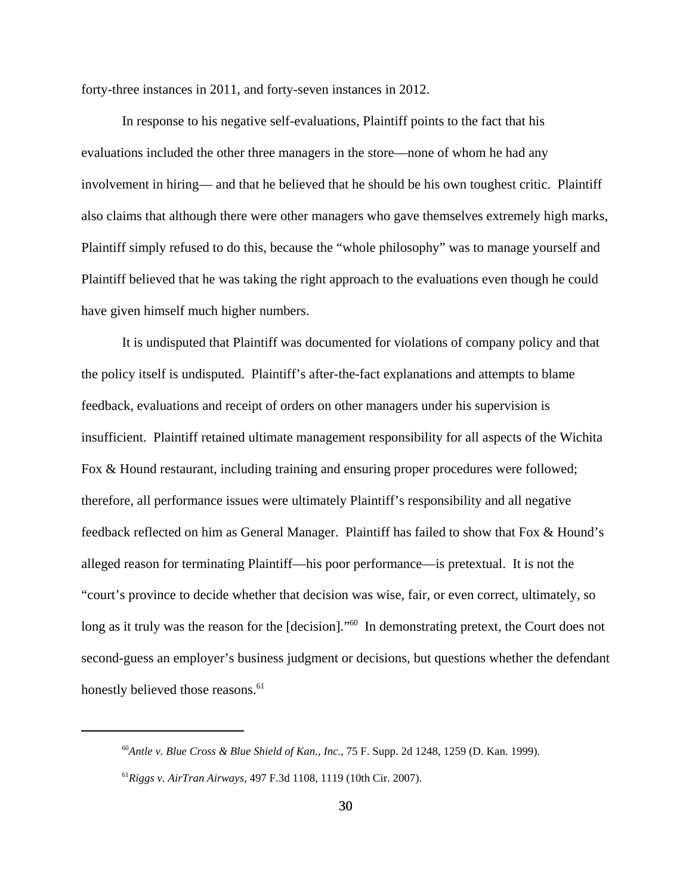forty-three instances in 2011, and forty-seven instances in 2012.

In response to his negative self-evaluations, Plaintiff points to the fact that his evaluations included the other three managers in the store—none of whom he had any involvement in hiring— and that he believed that he should be his own toughest critic. Plaintiff also claims that although there were other managers who gave themselves extremely high marks, Plaintiff simply refused to do this, because the "whole philosophy" was to manage yourself and Plaintiff believed that he was taking the right approach to the evaluations even though he could have given himself much higher numbers.

It is undisputed that Plaintiff was documented for violations of company policy and that the policy itself is undisputed. Plaintiff's after-the-fact explanations and attempts to blame feedback, evaluations and receipt of orders on other managers under his supervision is insufficient. Plaintiff retained ultimate management responsibility for all aspects of the Wichita Fox & Hound restaurant, including training and ensuring proper procedures were followed; therefore, all performance issues were ultimately Plaintiff's responsibility and all negative feedback reflected on him as General Manager. Plaintiff has failed to show that Fox & Hound's alleged reason for terminating Plaintiff—his poor performance—is pretextual. It is not the "court's province to decide whether that decision was wise, fair, or even correct, ultimately, so long as it truly was the reason for the [decision]."<sup>60</sup> In demonstrating pretext, the Court does not second-guess an employer's business judgment or decisions, but questions whether the defendant honestly believed those reasons.<sup>61</sup>

<sup>60</sup>*Antle v. Blue Cross & Blue Shield of Kan., Inc.*, 75 F. Supp. 2d 1248, 1259 (D. Kan. 1999).

<sup>61</sup>*Riggs v. AirTran Airways*, 497 F.3d 1108, 1119 (10th Cir. 2007).